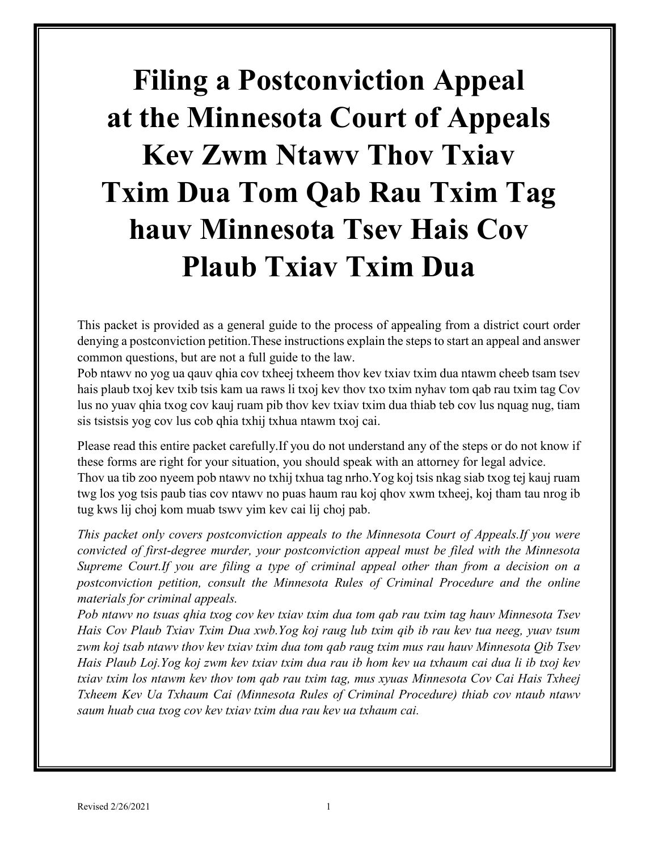# **Filing a Postconviction Appeal at the Minnesota Court of Appeals Kev Zwm Ntawv Thov Txiav Txim Dua Tom Qab Rau Txim Tag hauv Minnesota Tsev Hais Cov Plaub Txiav Txim Dua**

This packet is provided as a general guide to the process of appealing from a district court order denying a postconviction petition.These instructions explain the steps to start an appeal and answer common questions, but are not a full guide to the law.

Pob ntawv no yog ua qauv qhia cov txheej txheem thov kev txiav txim dua ntawm cheeb tsam tsev hais plaub txoj kev txib tsis kam ua raws li txoj kev thov txo txim nyhav tom qab rau txim tag Cov lus no yuav qhia txog cov kauj ruam pib thov kev txiav txim dua thiab teb cov lus nquag nug, tiam sis tsistsis yog cov lus cob qhia txhij txhua ntawm txoj cai.

Please read this entire packet carefully.If you do not understand any of the steps or do not know if these forms are right for your situation, you should speak with an attorney for legal advice. Thov ua tib zoo nyeem pob ntawv no txhij txhua tag nrho.Yog koj tsis nkag siab txog tej kauj ruam twg los yog tsis paub tias cov ntawv no puas haum rau koj qhov xwm txheej, koj tham tau nrog ib tug kws lij choj kom muab tswv yim kev cai lij choj pab.

*This packet only covers postconviction appeals to the Minnesota Court of Appeals.If you were convicted of first-degree murder, your postconviction appeal must be filed with the Minnesota Supreme Court.If you are filing a type of criminal appeal other than from a decision on a postconviction petition, consult the Minnesota Rules of Criminal Procedure and the online materials for criminal appeals.*

*Pob ntawv no tsuas qhia txog cov kev txiav txim dua tom qab rau txim tag hauv Minnesota Tsev Hais Cov Plaub Txiav Txim Dua xwb.Yog koj raug lub txim qib ib rau kev tua neeg, yuav tsum zwm koj tsab ntawv thov kev txiav txim dua tom qab raug txim mus rau hauv Minnesota Qib Tsev Hais Plaub Loj.Yog koj zwm kev txiav txim dua rau ib hom kev ua txhaum cai dua li ib txoj kev txiav txim los ntawm kev thov tom qab rau txim tag, mus xyuas Minnesota Cov Cai Hais Txheej Txheem Kev Ua Txhaum Cai (Minnesota Rules of Criminal Procedure) thiab cov ntaub ntawv saum huab cua txog cov kev txiav txim dua rau kev ua txhaum cai.*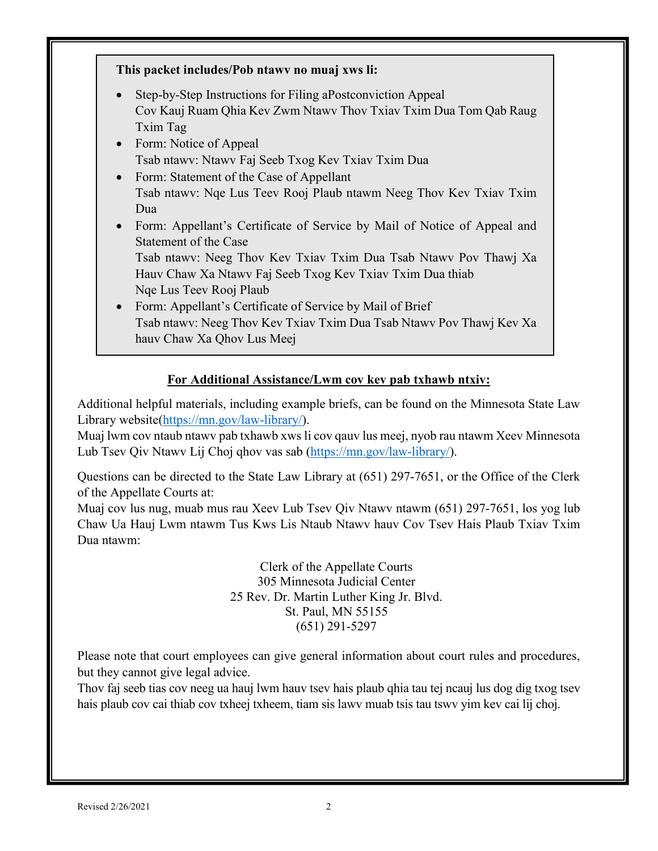### **This packet includes/Pob ntawv no muaj xws li:**

- Step-by-Step Instructions for Filing aPostconviction Appeal Cov Kauj Ruam Qhia Kev Zwm Ntawv Thov Txiav Txim Dua Tom Qab Raug Txim Tag
- Form: Notice of Appeal Tsab ntawv: Ntawv Faj Seeb Txog Kev Txiav Txim Dua
- Form: Statement of the Case of Appellant Tsab ntawv: Nqe Lus Teev Rooj Plaub ntawm Neeg Thov Kev Txiav Txim Dua
- Form: Appellant's Certificate of Service by Mail of Notice of Appeal and Statement of the Case

Tsab ntawv: Neeg Thov Kev Txiav Txim Dua Tsab Ntawv Pov Thawj Xa Hauv Chaw Xa Ntawv Faj Seeb Txog Kev Txiav Txim Dua thiab Nqe Lus Teev Rooj Plaub

• Form: Appellant's Certificate of Service by Mail of Brief Tsab ntawv: Neeg Thov Kev Txiav Txim Dua Tsab Ntawv Pov Thawj Kev Xa hauv Chaw Xa Qhov Lus Meej

#### **For Additional Assistance/Lwm cov kev pab txhawb ntxiv:**

Additional helpful materials, including example briefs, can be found on the Minnesota State Law Library website[\(https://mn.gov/law-library/\)](https://mn.gov/law-library/).

Muaj lwm cov ntaub ntawv pab txhawb xws li cov qauv lus meej, nyob rau ntawm Xeev Minnesota Lub Tsev Qiv Ntawv Lij Choj qhov vas sab [\(https://mn.gov/law-library/\)](https://mn.gov/law-library/).

Questions can be directed to the State Law Library at (651) 297-7651, or the Office of the Clerk of the Appellate Courts at:

Muaj cov lus nug, muab mus rau Xeev Lub Tsev Qiv Ntawv ntawm (651) 297-7651, los yog lub Chaw Ua Hauj Lwm ntawm Tus Kws Lis Ntaub Ntawv hauv Cov Tsev Hais Plaub Txiav Txim Dua ntawm:

> Clerk of the Appellate Courts 305 Minnesota Judicial Center 25 Rev. Dr. Martin Luther King Jr. Blvd. St. Paul, MN 55155 (651) 291-5297

Please note that court employees can give general information about court rules and procedures, but they cannot give legal advice.

Thov faj seeb tias cov neeg ua hauj lwm hauv tsev hais plaub qhia tau tej ncauj lus dog dig txog tsev hais plaub cov cai thiab cov txheej txheem, tiam sis lawv muab tsis tau tswv yim kev cai lij choj.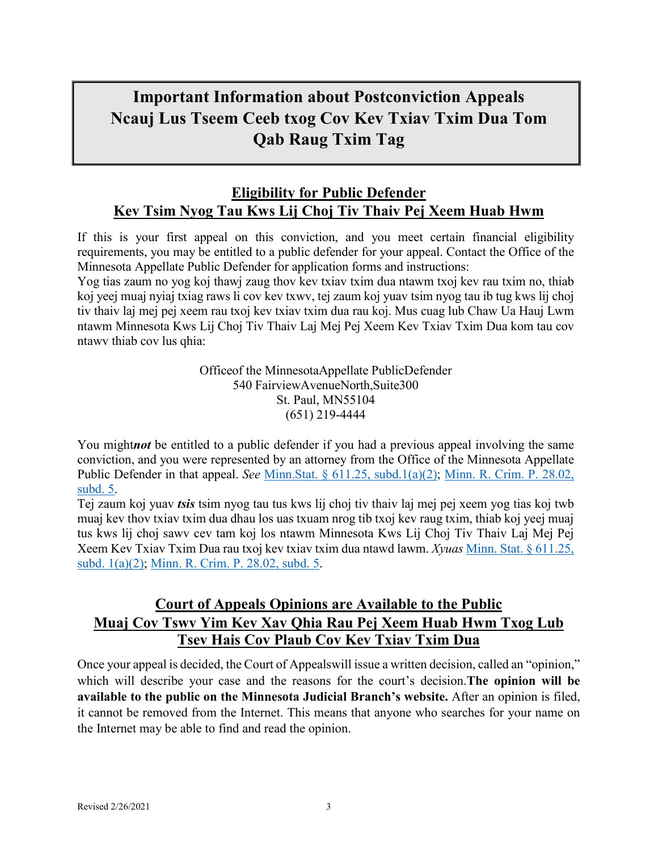## **Important Information about Postconviction Appeals Ncauj Lus Tseem Ceeb txog Cov Kev Txiav Txim Dua Tom Qab Raug Txim Tag**

### **Eligibility for Public Defender Kev Tsim Nyog Tau Kws Lij Choj Tiv Thaiv Pej Xeem Huab Hwm**

If this is your first appeal on this conviction, and you meet certain financial eligibility requirements, you may be entitled to a public defender for your appeal. Contact the Office of the Minnesota Appellate Public Defender for application forms and instructions:

Yog tias zaum no yog koj thawj zaug thov kev txiav txim dua ntawm txoj kev rau txim no, thiab koj yeej muaj nyiaj txiag raws li cov kev txwv, tej zaum koj yuav tsim nyog tau ib tug kws lij choj tiv thaiv laj mej pej xeem rau txoj kev txiav txim dua rau koj. Mus cuag lub Chaw Ua Hauj Lwm ntawm Minnesota Kws Lij Choj Tiv Thaiv Laj Mej Pej Xeem Kev Txiav Txim Dua kom tau cov ntawv thiab cov lus qhia:

> Officeof the MinnesotaAppellate PublicDefender 540 FairviewAvenueNorth,Suite300 St. Paul, MN55104 (651) 219-4444

You might*not* be entitled to a public defender if you had a previous appeal involving the same conviction, and you were represented by an attorney from the Office of the Minnesota Appellate Public Defender in that appeal. *See* Minn.Stat. § 611.25, [subd.1\(a\)\(2\);](https://www.revisor.mn.gov/statutes/?id=611.25) [Minn. R. Crim. P. 28.02,](https://www.revisor.mn.gov/court_rules/rule.php?type=cr&id=28#28.02)  [subd. 5.](https://www.revisor.mn.gov/court_rules/rule.php?type=cr&id=28#28.02)

Tej zaum koj yuav *tsis* tsim nyog tau tus kws lij choj tiv thaiv laj mej pej xeem yog tias koj twb muaj kev thov txiav txim dua dhau los uas txuam nrog tib txoj kev raug txim, thiab koj yeej muaj tus kws lij choj sawv cev tam koj los ntawm Minnesota Kws Lij Choj Tiv Thaiv Laj Mej Pej Xeem Kev Txiav Txim Dua rau txoj kev txiav txim dua ntawd lawm. *Xyuas* [Minn. Stat. § 611.25,](https://www.revisor.mn.gov/statutes/?id=611.25)  [subd. 1\(a\)\(2\);](https://www.revisor.mn.gov/statutes/?id=611.25) [Minn. R. Crim. P. 28.02, subd. 5.](https://www.revisor.mn.gov/court_rules/rule.php?type=cr&id=28#28.02)

## **Court of Appeals Opinions are Available to the Public Muaj Cov Tswv Yim Kev Xav Qhia Rau Pej Xeem Huab Hwm Txog Lub Tsev Hais Cov Plaub Cov Kev Txiav Txim Dua**

Once your appeal is decided, the Court of Appealswill issue a written decision, called an "opinion," which will describe your case and the reasons for the court's decision.**The opinion will be available to the public on the Minnesota Judicial Branch's website.** After an opinion is filed, it cannot be removed from the Internet. This means that anyone who searches for your name on the Internet may be able to find and read the opinion.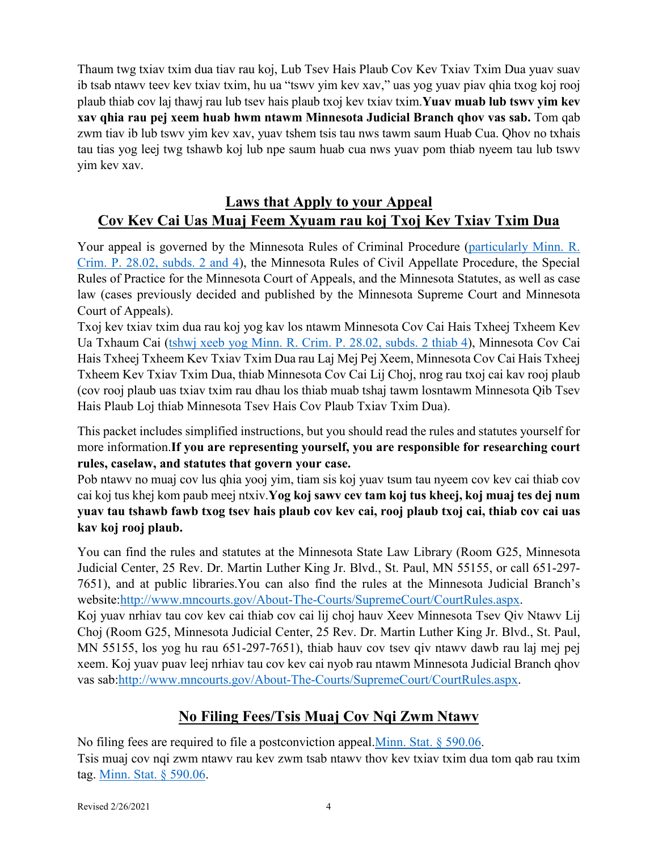Thaum twg txiav txim dua tiav rau koj, Lub Tsev Hais Plaub Cov Kev Txiav Txim Dua yuav suav ib tsab ntawv teev kev txiav txim, hu ua "tswv yim kev xav," uas yog yuav piav qhia txog koj rooj plaub thiab cov laj thawj rau lub tsev hais plaub txoj kev txiav txim.**Yuav muab lub tswv yim kev xav qhia rau pej xeem huab hwm ntawm Minnesota Judicial Branch qhov vas sab.** Tom qab zwm tiav ib lub tswv yim kev xav, yuav tshem tsis tau nws tawm saum Huab Cua. Qhov no txhais tau tias yog leej twg tshawb koj lub npe saum huab cua nws yuav pom thiab nyeem tau lub tswv yim kev xav.

## **Laws that Apply to your Appeal Cov Kev Cai Uas Muaj Feem Xyuam rau koj Txoj Kev Txiav Txim Dua**

Your appeal is governed by the Minnesota Rules of Criminal Procedure [\(particularly Minn. R.](https://www.revisor.mn.gov/court_rules/cr/id/28/#28.02)  [Crim. P. 28.02, subds. 2 and 4\)](https://www.revisor.mn.gov/court_rules/cr/id/28/#28.02), the Minnesota Rules of Civil Appellate Procedure, the Special Rules of Practice for the Minnesota Court of Appeals, and the Minnesota Statutes, as well as case law (cases previously decided and published by the Minnesota Supreme Court and Minnesota Court of Appeals).

Txoj kev txiav txim dua rau koj yog kav los ntawm Minnesota Cov Cai Hais Txheej Txheem Kev Ua Txhaum Cai [\(tshwj xeeb yog Minn. R. Crim. P. 28.02, subds. 2 thiab 4\)](https://www.revisor.mn.gov/court_rules/cr/id/28/#28.02), Minnesota Cov Cai Hais Txheej Txheem Kev Txiav Txim Dua rau Laj Mej Pej Xeem, Minnesota Cov Cai Hais Txheej Txheem Kev Txiav Txim Dua, thiab Minnesota Cov Cai Lij Choj, nrog rau txoj cai kav rooj plaub (cov rooj plaub uas txiav txim rau dhau los thiab muab tshaj tawm losntawm Minnesota Qib Tsev Hais Plaub Loj thiab Minnesota Tsev Hais Cov Plaub Txiav Txim Dua).

This packet includes simplified instructions, but you should read the rules and statutes yourself for more information.**If you are representing yourself, you are responsible for researching court rules, caselaw, and statutes that govern your case.**

Pob ntawv no muaj cov lus qhia yooj yim, tiam sis koj yuav tsum tau nyeem cov kev cai thiab cov cai koj tus khej kom paub meej ntxiv.**Yog koj sawv cev tam koj tus kheej, koj muaj tes dej num yuav tau tshawb fawb txog tsev hais plaub cov kev cai, rooj plaub txoj cai, thiab cov cai uas kav koj rooj plaub.**

You can find the rules and statutes at the Minnesota State Law Library (Room G25, Minnesota Judicial Center, 25 Rev. Dr. Martin Luther King Jr. Blvd., St. Paul, MN 55155, or call 651-297- 7651), and at public libraries.You can also find the rules at the Minnesota Judicial Branch's website[:http://www.mncourts.gov/About-The-Courts/SupremeCourt/CourtRules.aspx.](http://www.mncourts.gov/About-The-Courts/SupremeCourt/CourtRules.aspx)

Koj yuav nrhiav tau cov kev cai thiab cov cai lij choj hauv Xeev Minnesota Tsev Qiv Ntawv Lij Choj (Room G25, Minnesota Judicial Center, 25 Rev. Dr. Martin Luther King Jr. Blvd., St. Paul, MN 55155, los yog hu rau 651-297-7651), thiab hauv cov tsev qiv ntawv dawb rau laj mej pej xeem. Koj yuav puav leej nrhiav tau cov kev cai nyob rau ntawm Minnesota Judicial Branch qhov vas sab[:http://www.mncourts.gov/About-The-Courts/SupremeCourt/CourtRules.aspx.](http://www.mncourts.gov/About-The-Courts/SupremeCourt/CourtRules.aspx)

## **No Filing Fees/Tsis Muaj Cov Nqi Zwm Ntawv**

No filing fees are required to file a postconviction appeal[.Minn. Stat. § 590.06.](https://www.revisor.mn.gov/statutes/?id=590.06) Tsis muaj cov nqi zwm ntawv rau kev zwm tsab ntawv thov kev txiav txim dua tom qab rau txim tag. [Minn. Stat. § 590.06.](https://www.revisor.mn.gov/statutes/?id=590.06)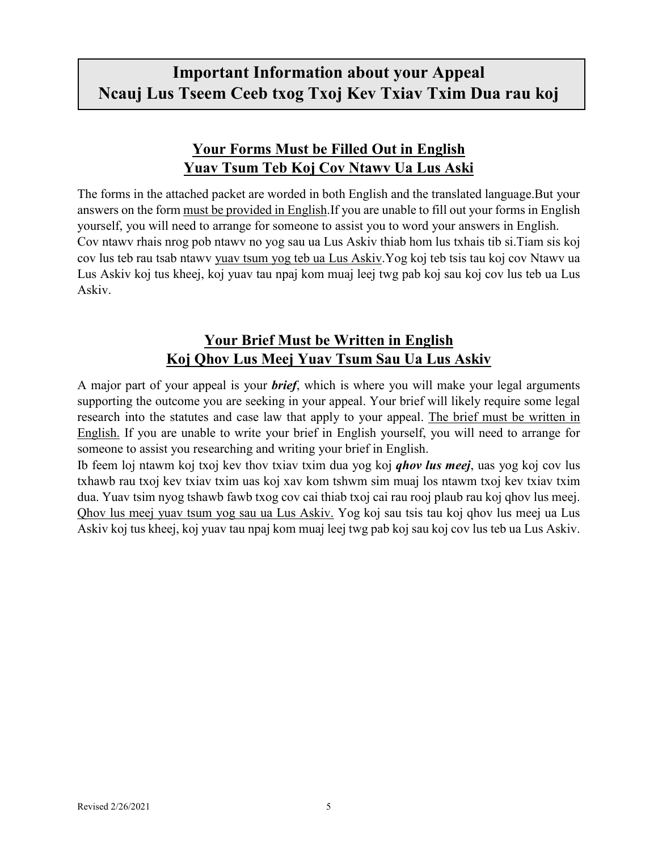## **Important Information about your Appeal Ncauj Lus Tseem Ceeb txog Txoj Kev Txiav Txim Dua rau koj**

## **Your Forms Must be Filled Out in English Yuav Tsum Teb Koj Cov Ntawv Ua Lus Aski**

The forms in the attached packet are worded in both English and the translated language.But your answers on the form must be provided in English.If you are unable to fill out your forms in English yourself, you will need to arrange for someone to assist you to word your answers in English. Cov ntawv rhais nrog pob ntawv no yog sau ua Lus Askiv thiab hom lus txhais tib si.Tiam sis koj cov lus teb rau tsab ntawv yuav tsum yog teb ua Lus Askiv.Yog koj teb tsis tau koj cov Ntawv ua Lus Askiv koj tus kheej, koj yuav tau npaj kom muaj leej twg pab koj sau koj cov lus teb ua Lus Askiv.

## **Your Brief Must be Written in English Koj Qhov Lus Meej Yuav Tsum Sau Ua Lus Askiv**

A major part of your appeal is your *brief*, which is where you will make your legal arguments supporting the outcome you are seeking in your appeal. Your brief will likely require some legal research into the statutes and case law that apply to your appeal. The brief must be written in English. If you are unable to write your brief in English yourself, you will need to arrange for someone to assist you researching and writing your brief in English.

Ib feem loj ntawm koj txoj kev thov txiav txim dua yog koj *qhov lus meej*, uas yog koj cov lus txhawb rau txoj kev txiav txim uas koj xav kom tshwm sim muaj los ntawm txoj kev txiav txim dua. Yuav tsim nyog tshawb fawb txog cov cai thiab txoj cai rau rooj plaub rau koj qhov lus meej. Qhov lus meej yuav tsum yog sau ua Lus Askiv. Yog koj sau tsis tau koj qhov lus meej ua Lus Askiv koj tus kheej, koj yuav tau npaj kom muaj leej twg pab koj sau koj cov lus teb ua Lus Askiv.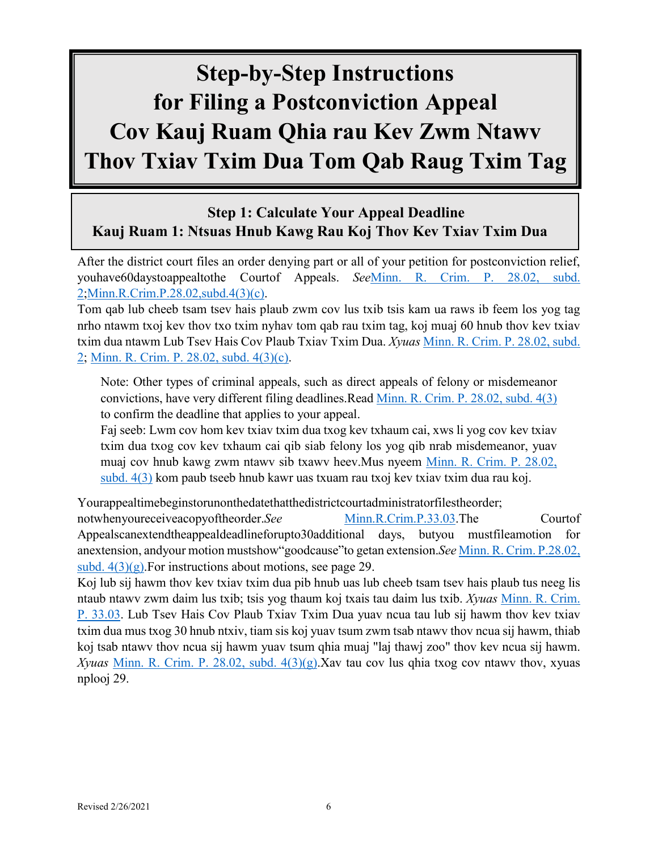## **Step-by-Step Instructions for Filing a Postconviction Appeal Cov Kauj Ruam Qhia rau Kev Zwm Ntawv Thov Txiav Txim Dua Tom Qab Raug Txim Tag**

## **Step 1: Calculate Your Appeal Deadline Kauj Ruam 1: Ntsuas Hnub Kawg Rau Koj Thov Kev Txiav Txim Dua**

After the district court files an order denying part or all of your petition for postconviction relief, youhave60daystoappealtothe Courtof Appeals. *See*[Minn. R. Crim. P. 28.02, subd.](https://www.revisor.mn.gov/court_rules/cr/id/28/#28.02)  [2](https://www.revisor.mn.gov/court_rules/cr/id/28/#28.02)[;Minn.R.Crim.P.28.02,subd.4\(3\)\(c\).](https://www.revisor.mn.gov/court_rules/rule.php?type=cr&id=28#28.02)

Tom qab lub cheeb tsam tsev hais plaub zwm cov lus txib tsis kam ua raws ib feem los yog tag nrho ntawm txoj kev thov txo txim nyhav tom qab rau txim tag, koj muaj 60 hnub thov kev txiav txim dua ntawm Lub Tsev Hais Cov Plaub Txiav Txim Dua. *Xyuas* [Minn. R. Crim. P. 28.02, subd.](https://www.revisor.mn.gov/court_rules/cr/id/28/#28.02)  [2;](https://www.revisor.mn.gov/court_rules/cr/id/28/#28.02) [Minn. R. Crim. P. 28.02, subd. 4\(3\)\(c\).](https://www.revisor.mn.gov/court_rules/rule.php?type=cr&id=28#28.02)

Note: Other types of criminal appeals, such as direct appeals of felony or misdemeanor convictions, have very different filing deadlines.Read [Minn. R. Crim. P. 28.02, subd. 4\(3\)](https://www.revisor.mn.gov/court_rules/rule.php?type=cr&id=28#28.02) to confirm the deadline that applies to your appeal.

Faj seeb: Lwm cov hom kev txiav txim dua txog kev txhaum cai, xws li yog cov kev txiav txim dua txog cov kev txhaum cai qib siab felony los yog qib nrab misdemeanor, yuav muaj cov hnub kawg zwm ntawv sib txawv heev.Mus nyeem [Minn. R. Crim. P. 28.02,](https://www.revisor.mn.gov/court_rules/rule.php?type=cr&id=28#28.02)  [subd. 4\(3\)](https://www.revisor.mn.gov/court_rules/rule.php?type=cr&id=28#28.02) kom paub tseeb hnub kawr uas txuam rau txoj kev txiav txim dua rau koj.

Yourappealtimebeginstorunonthedatethatthedistrictcourtadministratorfilestheorder; notwhenyoureceiveacopyoftheorder.*See* [Minn.R.Crim.P.33.03.](https://www.revisor.mn.gov/court_rules/rule.php?type=cr&id=33)The Courtof Appealscanextendtheappealdeadlineforupto30additional days, butyou mustfileamotion for anextension, andyour motion mustshow"goodcause"to getan extension.*See* Minn. R. [Crim. P.28.02,](https://www.revisor.mn.gov/court_rules/rule.php?type=cr&id=28#28.02)  subd.  $4(3)(g)$ . For instructions about motions, see page 29.

Koj lub sij hawm thov kev txiav txim dua pib hnub uas lub cheeb tsam tsev hais plaub tus neeg lis ntaub ntawv zwm daim lus txib; tsis yog thaum koj txais tau daim lus txib. *Xyuas* [Minn. R. Crim.](https://www.revisor.mn.gov/court_rules/rule.php?type=cr&id=33)  [P. 33.03.](https://www.revisor.mn.gov/court_rules/rule.php?type=cr&id=33) Lub Tsev Hais Cov Plaub Txiav Txim Dua yuav ncua tau lub sij hawm thov kev txiav txim dua mus txog 30 hnub ntxiv, tiam sis koj yuav tsum zwm tsab ntawv thov ncua sij hawm, thiab koj tsab ntawv thov ncua sij hawm yuav tsum qhia muaj "laj thawj zoo" thov kev ncua sij hawm. *Xyuas* [Minn. R. Crim. P. 28.02, subd. 4\(3\)\(g\).](https://www.revisor.mn.gov/court_rules/rule.php?type=cr&id=28#28.02)Xav tau cov lus qhia txog cov ntawv thov, xyuas nplooj 29.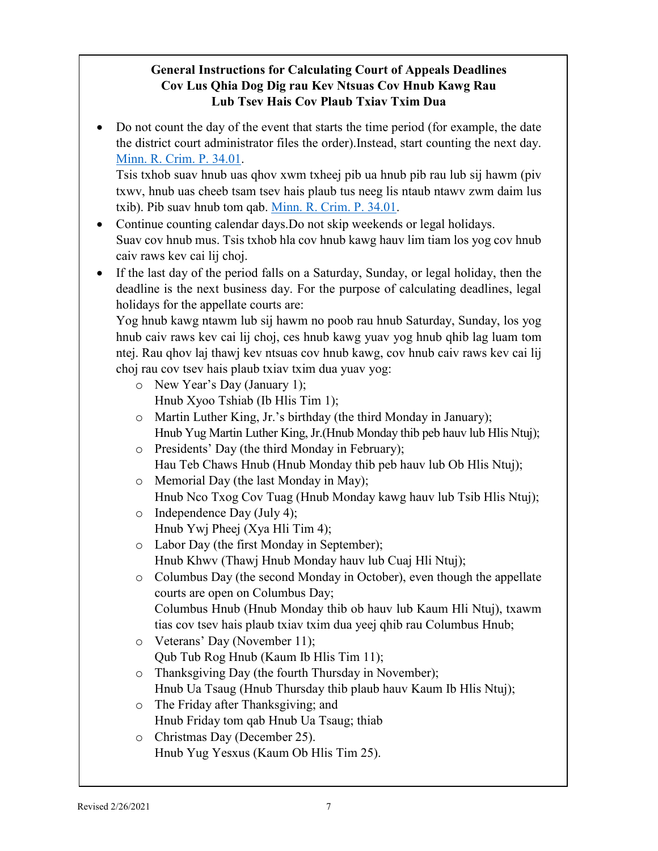#### **General Instructions for Calculating Court of Appeals Deadlines Cov Lus Qhia Dog Dig rau Kev Ntsuas Cov Hnub Kawg Rau Lub Tsev Hais Cov Plaub Txiav Txim Dua**

• Do not count the day of the event that starts the time period (for example, the date the district court administrator files the order).Instead, start counting the next day. [Minn. R. Crim. P. 34.01.](https://www.revisor.mn.gov/court_rules/cr/id/34/#34.01)

Tsis txhob suav hnub uas qhov xwm txheej pib ua hnub pib rau lub sij hawm (piv txwv, hnub uas cheeb tsam tsev hais plaub tus neeg lis ntaub ntawv zwm daim lus txib). Pib suav hnub tom qab. [Minn. R. Crim. P. 34.01.](https://www.revisor.mn.gov/court_rules/cr/id/34/#34.01)

- Continue counting calendar days.Do not skip weekends or legal holidays. Suav cov hnub mus. Tsis txhob hla cov hnub kawg hauv lim tiam los yog cov hnub caiv raws kev cai lij choj.
- If the last day of the period falls on a Saturday, Sunday, or legal holiday, then the deadline is the next business day. For the purpose of calculating deadlines, legal holidays for the appellate courts are:

Yog hnub kawg ntawm lub sij hawm no poob rau hnub Saturday, Sunday, los yog hnub caiv raws kev cai lij choj, ces hnub kawg yuav yog hnub qhib lag luam tom ntej. Rau qhov laj thawj kev ntsuas cov hnub kawg, cov hnub caiv raws kev cai lij choj rau cov tsev hais plaub txiav txim dua yuav yog:

- o New Year's Day (January 1); Hnub Xyoo Tshiab (Ib Hlis Tim 1);
- o Martin Luther King, Jr.'s birthday (the third Monday in January); Hnub Yug Martin Luther King, Jr.(Hnub Monday thib peb hauv lub Hlis Ntuj);
- o Presidents' Day (the third Monday in February); Hau Teb Chaws Hnub (Hnub Monday thib peb hauv lub Ob Hlis Ntuj);
- o Memorial Day (the last Monday in May); Hnub Nco Txog Cov Tuag (Hnub Monday kawg hauv lub Tsib Hlis Ntuj);
- o Independence Day (July 4); Hnub Ywj Pheej (Xya Hli Tim 4);
- o Labor Day (the first Monday in September); Hnub Khwv (Thawj Hnub Monday hauv lub Cuaj Hli Ntuj);
- $\circ$  Columbus Day (the second Monday in October), even though the appellate courts are open on Columbus Day; Columbus Hnub (Hnub Monday thib ob hauv lub Kaum Hli Ntuj), txawm tias cov tsev hais plaub txiav txim dua yeej qhib rau Columbus Hnub;
- o Veterans' Day (November 11); Qub Tub Rog Hnub (Kaum Ib Hlis Tim 11);
- o Thanksgiving Day (the fourth Thursday in November); Hnub Ua Tsaug (Hnub Thursday thib plaub hauv Kaum Ib Hlis Ntuj);
- o The Friday after Thanksgiving; and Hnub Friday tom qab Hnub Ua Tsaug; thiab
- o Christmas Day (December 25). Hnub Yug Yesxus (Kaum Ob Hlis Tim 25).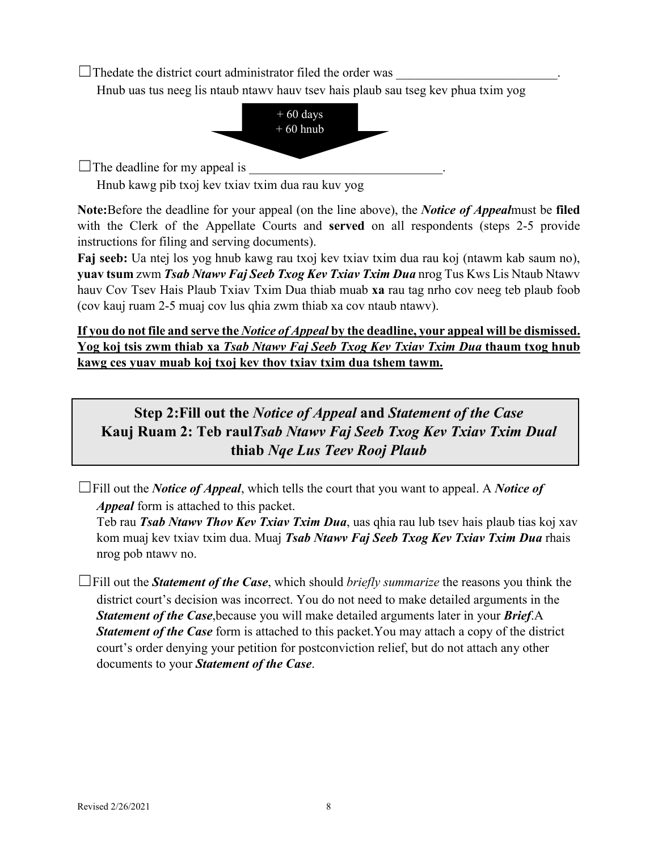$\Box$  Thedate the district court administrator filed the order was Hnub uas tus neeg lis ntaub ntawv hauv tsev hais plaub sau tseg kev phua txim yog



 $\Box$  The deadline for my appeal is

Hnub kawg pib txoj kev txiav txim dua rau kuv yog

**Note:**Before the deadline for your appeal (on the line above), the *Notice of Appeal*must be **filed** with the Clerk of the Appellate Courts and **served** on all respondents (steps 2-5 provide instructions for filing and serving documents).

**Faj seeb:** Ua ntej los yog hnub kawg rau txoj kev txiav txim dua rau koj (ntawm kab saum no), **yuav tsum** zwm *Tsab Ntawv Faj Seeb Txog Kev Txiav Txim Dua* nrog Tus Kws Lis Ntaub Ntawv hauv Cov Tsev Hais Plaub Txiav Txim Dua thiab muab **xa** rau tag nrho cov neeg teb plaub foob (cov kauj ruam 2-5 muaj cov lus qhia zwm thiab xa cov ntaub ntawv).

#### **If you do not file and serve the** *Notice of Appeal* **by the deadline, your appeal will be dismissed. Yog koj tsis zwm thiab xa** *Tsab Ntawv Faj Seeb Txog Kev Txiav Txim Dua* **thaum txog hnub kawg ces yuav muab koj txoj kev thov txiav txim dua tshem tawm.**

**Step 2:Fill out the** *Notice of Appeal* **and** *Statement of the Case* **Kauj Ruam 2: Teb raul***Tsab Ntawv Faj Seeb Txog Kev Txiav Txim Dual* **thiab** *Nqe Lus Teev Rooj Plaub*

☐Fill out the *Notice of Appeal*, which tells the court that you want to appeal. A *Notice of Appeal* form is attached to this packet.

Teb rau *Tsab Ntawv Thov Kev Txiav Txim Dua*, uas qhia rau lub tsev hais plaub tias koj xav kom muaj kev txiav txim dua. Muaj *Tsab Ntawv Faj Seeb Txog Kev Txiav Txim Dua* rhais nrog pob ntawv no.

☐Fill out the *Statement of the Case*, which should *briefly summarize* the reasons you think the district court's decision was incorrect. You do not need to make detailed arguments in the *Statement of the Case*,because you will make detailed arguments later in your *Brief*.A *Statement of the Case* form is attached to this packet.You may attach a copy of the district court's order denying your petition for postconviction relief, but do not attach any other documents to your *Statement of the Case*.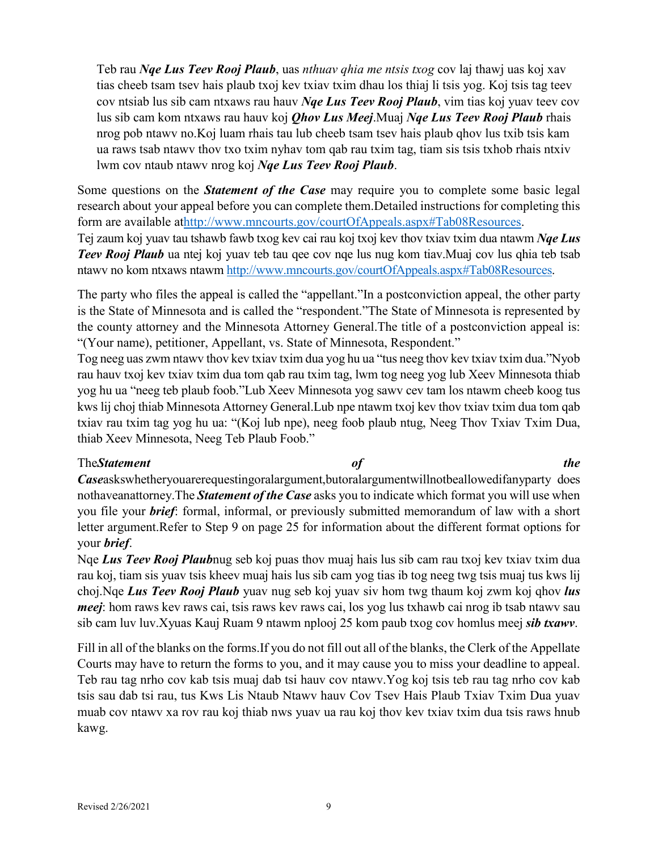Teb rau *Nqe Lus Teev Rooj Plaub*, uas *nthuav qhia me ntsis txog* cov laj thawj uas koj xav tias cheeb tsam tsev hais plaub txoj kev txiav txim dhau los thiaj li tsis yog. Koj tsis tag teev cov ntsiab lus sib cam ntxaws rau hauv *Nqe Lus Teev Rooj Plaub*, vim tias koj yuav teev cov lus sib cam kom ntxaws rau hauv koj *Qhov Lus Meej*.Muaj *Nqe Lus Teev Rooj Plaub* rhais nrog pob ntawv no.Koj luam rhais tau lub cheeb tsam tsev hais plaub qhov lus txib tsis kam ua raws tsab ntawv thov txo txim nyhav tom qab rau txim tag, tiam sis tsis txhob rhais ntxiv lwm cov ntaub ntawv nrog koj *Nqe Lus Teev Rooj Plaub*.

Some questions on the *Statement of the Case* may require you to complete some basic legal research about your appeal before you can complete them.Detailed instructions for completing this form are available a[thttp://www.mncourts.gov/courtOfAppeals.aspx#Tab08Resources.](http://www.mncourts.gov/courtOfAppeals.aspx#Tab08Resources)

Tej zaum koj yuav tau tshawb fawb txog kev cai rau koj txoj kev thov txiav txim dua ntawm *Nqe Lus Teev Rooj Plaub* ua ntej koj yuav teb tau qee cov nqe lus nug kom tiav.Muaj cov lus qhia teb tsab ntawv no kom ntxaws ntawm http://www.mncourts.gov/courtOfAppeals.aspx#Tab08Resources.

The party who files the appeal is called the "appellant."In a postconviction appeal, the other party is the State of Minnesota and is called the "respondent."The State of Minnesota is represented by the county attorney and the Minnesota Attorney General.The title of a postconviction appeal is: "(Your name), petitioner, Appellant, vs. State of Minnesota, Respondent."

Tog neeg uas zwm ntawv thov kev txiav txim dua yog hu ua "tus neeg thov kev txiav txim dua."Nyob rau hauv txoj kev txiav txim dua tom qab rau txim tag, lwm tog neeg yog lub Xeev Minnesota thiab yog hu ua "neeg teb plaub foob."Lub Xeev Minnesota yog sawv cev tam los ntawm cheeb koog tus kws lij choj thiab Minnesota Attorney General.Lub npe ntawm txoj kev thov txiav txim dua tom qab txiav rau txim tag yog hu ua: "(Koj lub npe), neeg foob plaub ntug, Neeg Thov Txiav Txim Dua, thiab Xeev Minnesota, Neeg Teb Plaub Foob."

#### The *Statement* of the *the the*

*Case*askswhetheryouarerequestingoralargument,butoralargumentwillnotbeallowedifanyparty does nothaveanattorney.The *Statement of the Case* asks you to indicate which format you will use when you file your *brief*: formal, informal, or previously submitted memorandum of law with a short letter argument.Refer to Step 9 on page 25 for information about the different format options for your *brief*.

Nqe *Lus Teev Rooj Plaub*nug seb koj puas thov muaj hais lus sib cam rau txoj kev txiav txim dua rau koj, tiam sis yuav tsis kheev muaj hais lus sib cam yog tias ib tog neeg twg tsis muaj tus kws lij choj.Nqe *Lus Teev Rooj Plaub* yuav nug seb koj yuav siv hom twg thaum koj zwm koj qhov *lus meej*: hom raws kev raws cai, tsis raws kev raws cai, los yog lus txhawb cai nrog ib tsab ntawv sau sib cam luv luv.Xyuas Kauj Ruam 9 ntawm nplooj 25 kom paub txog cov homlus meej *sib txawv*.

Fill in all of the blanks on the forms.If you do not fill out all of the blanks, the Clerk of the Appellate Courts may have to return the forms to you, and it may cause you to miss your deadline to appeal. Teb rau tag nrho cov kab tsis muaj dab tsi hauv cov ntawv.Yog koj tsis teb rau tag nrho cov kab tsis sau dab tsi rau, tus Kws Lis Ntaub Ntawv hauv Cov Tsev Hais Plaub Txiav Txim Dua yuav muab cov ntawv xa rov rau koj thiab nws yuav ua rau koj thov kev txiav txim dua tsis raws hnub kawg.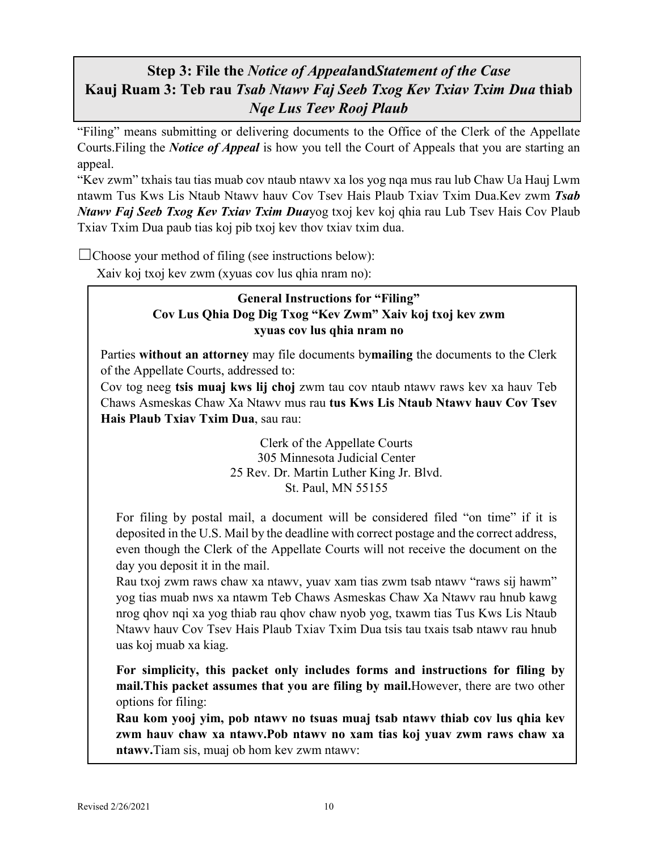## **Step 3: File the** *Notice of Appeal***and***Statement of the Case* **Kauj Ruam 3: Teb rau** *Tsab Ntawv Faj Seeb Txog Kev Txiav Txim Dua* **thiab**  *Nqe Lus Teev Rooj Plaub*

"Filing" means submitting or delivering documents to the Office of the Clerk of the Appellate Courts.Filing the *Notice of Appeal* is how you tell the Court of Appeals that you are starting an appeal.

"Kev zwm" txhais tau tias muab cov ntaub ntawv xa los yog nqa mus rau lub Chaw Ua Hauj Lwm ntawm Tus Kws Lis Ntaub Ntawv hauv Cov Tsev Hais Plaub Txiav Txim Dua.Kev zwm *Tsab Ntawv Faj Seeb Txog Kev Txiav Txim Dua*yog txoj kev koj qhia rau Lub Tsev Hais Cov Plaub Txiav Txim Dua paub tias koj pib txoj kev thov txiav txim dua.

 $\Box$ Choose your method of filing (see instructions below):

Xaiv koj txoj kev zwm (xyuas cov lus qhia nram no):

#### **General Instructions for "Filing" Cov Lus Qhia Dog Dig Txog "Kev Zwm" Xaiv koj txoj kev zwm xyuas cov lus qhia nram no**

Parties **without an attorney** may file documents by**mailing** the documents to the Clerk of the Appellate Courts, addressed to:

Cov tog neeg **tsis muaj kws lij choj** zwm tau cov ntaub ntawv raws kev xa hauv Teb Chaws Asmeskas Chaw Xa Ntawv mus rau **tus Kws Lis Ntaub Ntawv hauv Cov Tsev Hais Plaub Txiav Txim Dua**, sau rau:

> Clerk of the Appellate Courts 305 Minnesota Judicial Center 25 Rev. Dr. Martin Luther King Jr. Blvd. St. Paul, MN 55155

For filing by postal mail, a document will be considered filed "on time" if it is deposited in the U.S. Mail by the deadline with correct postage and the correct address, even though the Clerk of the Appellate Courts will not receive the document on the day you deposit it in the mail.

Rau txoj zwm raws chaw xa ntawv, yuav xam tias zwm tsab ntawv "raws sij hawm" yog tias muab nws xa ntawm Teb Chaws Asmeskas Chaw Xa Ntawv rau hnub kawg nrog qhov nqi xa yog thiab rau qhov chaw nyob yog, txawm tias Tus Kws Lis Ntaub Ntawv hauv Cov Tsev Hais Plaub Txiav Txim Dua tsis tau txais tsab ntawv rau hnub uas koj muab xa kiag.

**For simplicity, this packet only includes forms and instructions for filing by mail.This packet assumes that you are filing by mail.**However, there are two other options for filing:

**Rau kom yooj yim, pob ntawv no tsuas muaj tsab ntawv thiab cov lus qhia kev zwm hauv chaw xa ntawv.Pob ntawv no xam tias koj yuav zwm raws chaw xa ntawv.**Tiam sis, muaj ob hom kev zwm ntawv: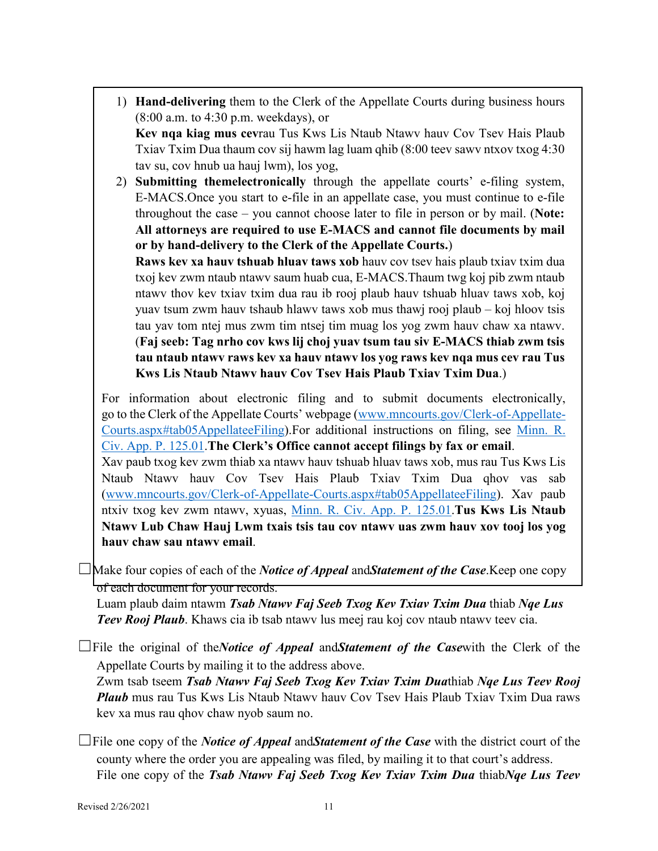1) **Hand-delivering** them to the Clerk of the Appellate Courts during business hours (8:00 a.m. to 4:30 p.m. weekdays), or

**Kev nqa kiag mus cev**rau Tus Kws Lis Ntaub Ntawv hauv Cov Tsev Hais Plaub Txiav Txim Dua thaum cov sij hawm lag luam qhib (8:00 teev sawv ntxov txog 4:30 tav su, cov hnub ua hauj lwm), los yog,

2) **Submitting themelectronically** through the appellate courts' e-filing system, E-MACS.Once you start to e-file in an appellate case, you must continue to e-file throughout the case – you cannot choose later to file in person or by mail. (**Note: All attorneys are required to use E-MACS and cannot file documents by mail or by hand-delivery to the Clerk of the Appellate Courts.**)

**Raws kev xa hauv tshuab hluav taws xob** hauv cov tsev hais plaub txiav txim dua txoj kev zwm ntaub ntawv saum huab cua, E-MACS.Thaum twg koj pib zwm ntaub ntawv thov kev txiav txim dua rau ib rooj plaub hauv tshuab hluav taws xob, koj yuav tsum zwm hauv tshaub hlawv taws xob mus thawj rooj plaub – koj hloov tsis tau yav tom ntej mus zwm tim ntsej tim muag los yog zwm hauv chaw xa ntawv. (**Faj seeb: Tag nrho cov kws lij choj yuav tsum tau siv E-MACS thiab zwm tsis tau ntaub ntawv raws kev xa hauv ntawv los yog raws kev nqa mus cev rau Tus Kws Lis Ntaub Ntawv hauv Cov Tsev Hais Plaub Txiav Txim Dua**.)

For information about electronic filing and to submit documents electronically, go to the Clerk of the Appellate Courts' webpage [\(www.mncourts.gov/Clerk-of-Appellate-](http://www.mncourts.gov/Clerk-of-Appellate-Courts.aspx#tab05AppellateeFiling)[Courts.aspx#tab05AppellateeFiling\)](http://www.mncourts.gov/Clerk-of-Appellate-Courts.aspx#tab05AppellateeFiling).For additional instructions on filing, see [Minn. R.](https://www.revisor.mn.gov/court_rules/ap/subtype/rcap/id/125/#125.01)  [Civ. App. P. 125.01.](https://www.revisor.mn.gov/court_rules/ap/subtype/rcap/id/125/#125.01)**The Clerk's Office cannot accept filings by fax or email**.

Xav paub txog kev zwm thiab xa ntawv hauv tshuab hluav taws xob, mus rau Tus Kws Lis Ntaub Ntawv hauv Cov Tsev Hais Plaub Txiav Txim Dua qhov vas sab [\(www.mncourts.gov/Clerk-of-Appellate-Courts.aspx#tab05AppellateeFiling\)](http://www.mncourts.gov/Clerk-of-Appellate-Courts.aspx#tab05AppellateeFiling). Xav paub ntxiv txog kev zwm ntawv, xyuas, [Minn. R. Civ. App. P. 125.01.](https://www.revisor.mn.gov/court_rules/ap/subtype/rcap/id/125/#125.01)**Tus Kws Lis Ntaub Ntawv Lub Chaw Hauj Lwm txais tsis tau cov ntawv uas zwm hauv xov tooj los yog hauv chaw sau ntawv email**.

☐Make four copies of each of the *Notice of Appeal* and*Statement of the Case*.Keep one copy of each document for your records.

Luam plaub daim ntawm *Tsab Ntawv Faj Seeb Txog Kev Txiav Txim Dua* thiab *Nqe Lus Teev Rooj Plaub*. Khaws cia ib tsab ntawv lus meej rau koj cov ntaub ntawv teev cia.

☐File the original of the*Notice of Appeal* and*Statement of the Case*with the Clerk of the Appellate Courts by mailing it to the address above.

Zwm tsab tseem *Tsab Ntawv Faj Seeb Txog Kev Txiav Txim Dua*thiab *Nqe Lus Teev Rooj Plaub* mus rau Tus Kws Lis Ntaub Ntawv hauv Cov Tsev Hais Plaub Txiav Txim Dua raws kev xa mus rau qhov chaw nyob saum no.

☐File one copy of the *Notice of Appeal* and*Statement of the Case* with the district court of the county where the order you are appealing was filed, by mailing it to that court's address. File one copy of the *Tsab Ntawv Faj Seeb Txog Kev Txiav Txim Dua* thiab*Nqe Lus Teev*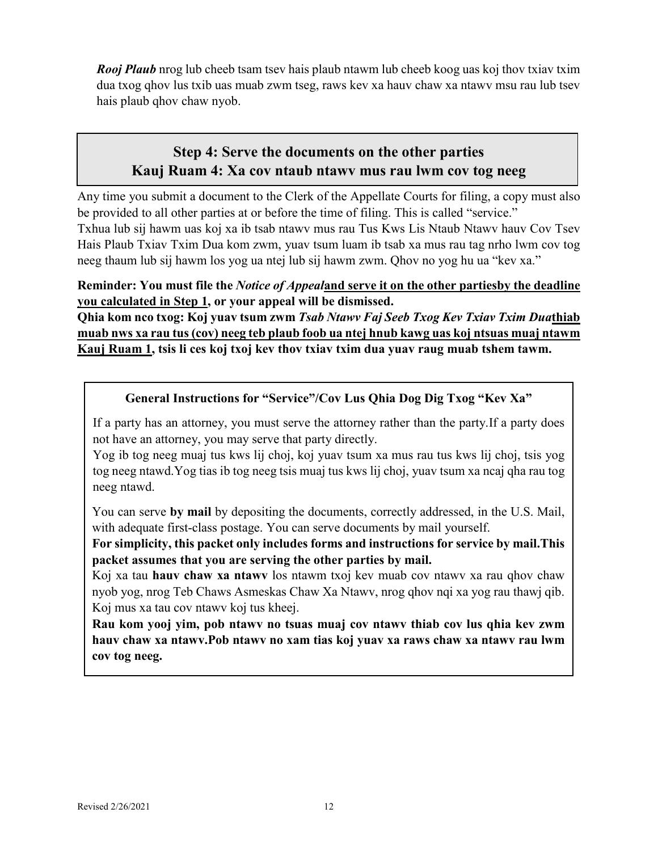*Rooj Plaub* nrog lub cheeb tsam tsev hais plaub ntawm lub cheeb koog uas koj thov txiav txim dua txog qhov lus txib uas muab zwm tseg, raws kev xa hauv chaw xa ntawv msu rau lub tsev hais plaub qhov chaw nyob.

## **Step 4: Serve the documents on the other parties Kauj Ruam 4: Xa cov ntaub ntawv mus rau lwm cov tog neeg**

Any time you submit a document to the Clerk of the Appellate Courts for filing, a copy must also be provided to all other parties at or before the time of filing. This is called "service."

Txhua lub sij hawm uas koj xa ib tsab ntawv mus rau Tus Kws Lis Ntaub Ntawv hauv Cov Tsev Hais Plaub Txiav Txim Dua kom zwm, yuav tsum luam ib tsab xa mus rau tag nrho lwm cov tog neeg thaum lub sij hawm los yog ua ntej lub sij hawm zwm. Qhov no yog hu ua "kev xa."

#### **Reminder: You must file the** *Notice of Appeal***and serve it on the other partiesby the deadline you calculated in Step 1, or your appeal will be dismissed.**

**Qhia kom nco txog: Koj yuav tsum zwm** *Tsab Ntawv Faj Seeb Txog Kev Txiav Txim Dua***thiab muab nws xa rau tus (cov) neeg teb plaub foob ua ntej hnub kawg uas koj ntsuas muaj ntawm Kauj Ruam 1, tsis li ces koj txoj kev thov txiav txim dua yuav raug muab tshem tawm.**

#### **General Instructions for "Service"/Cov Lus Qhia Dog Dig Txog "Kev Xa"**

If a party has an attorney, you must serve the attorney rather than the party.If a party does not have an attorney, you may serve that party directly.

Yog ib tog neeg muaj tus kws lij choj, koj yuav tsum xa mus rau tus kws lij choj, tsis yog tog neeg ntawd.Yog tias ib tog neeg tsis muaj tus kws lij choj, yuav tsum xa ncaj qha rau tog neeg ntawd.

You can serve **by mail** by depositing the documents, correctly addressed, in the U.S. Mail, with adequate first-class postage. You can serve documents by mail yourself.

**For simplicity, this packet only includes forms and instructions for service by mail.This packet assumes that you are serving the other parties by mail.**

Koj xa tau **hauv chaw xa ntawv** los ntawm txoj kev muab cov ntawv xa rau qhov chaw nyob yog, nrog Teb Chaws Asmeskas Chaw Xa Ntawv, nrog qhov nqi xa yog rau thawj qib. Koj mus xa tau cov ntawv koj tus kheej.

**Rau kom yooj yim, pob ntawv no tsuas muaj cov ntawv thiab cov lus qhia kev zwm hauv chaw xa ntawv.Pob ntawv no xam tias koj yuav xa raws chaw xa ntawv rau lwm cov tog neeg.**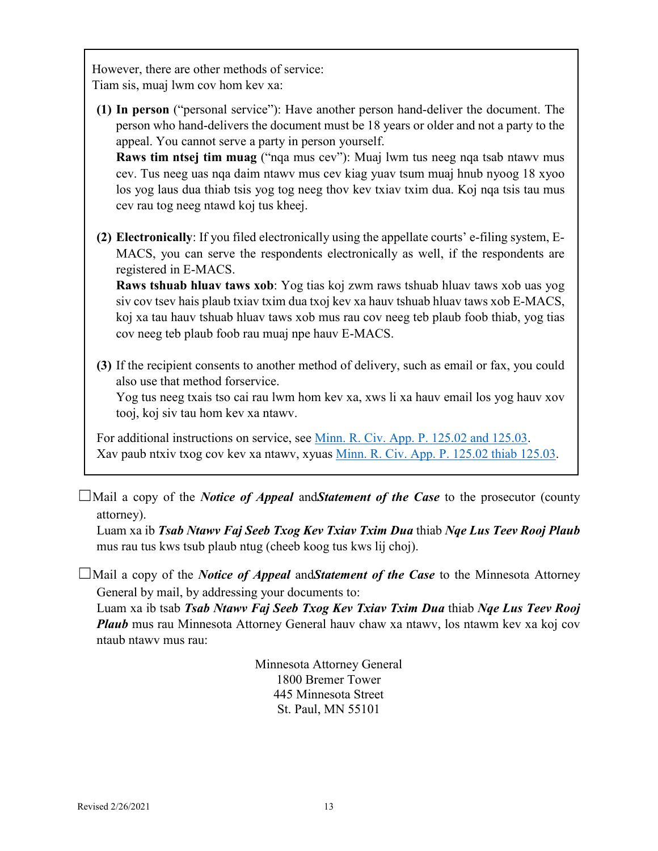However, there are other methods of service: Tiam sis, muaj lwm cov hom kev xa:

**(1) In person** ("personal service"): Have another person hand-deliver the document. The person who hand-delivers the document must be 18 years or older and not a party to the appeal. You cannot serve a party in person yourself.

**Raws tim ntsej tim muag** ("nqa mus cev"): Muaj lwm tus neeg nqa tsab ntawv mus cev. Tus neeg uas nqa daim ntawv mus cev kiag yuav tsum muaj hnub nyoog 18 xyoo los yog laus dua thiab tsis yog tog neeg thov kev txiav txim dua. Koj nqa tsis tau mus cev rau tog neeg ntawd koj tus kheej.

**(2) Electronically**: If you filed electronically using the appellate courts' e-filing system, E-MACS, you can serve the respondents electronically as well, if the respondents are registered in E-MACS.

**Raws tshuab hluav taws xob**: Yog tias koj zwm raws tshuab hluav taws xob uas yog siv cov tsev hais plaub txiav txim dua txoj kev xa hauv tshuab hluav taws xob E-MACS, koj xa tau hauv tshuab hluav taws xob mus rau cov neeg teb plaub foob thiab, yog tias cov neeg teb plaub foob rau muaj npe hauv E-MACS.

**(3)** If the recipient consents to another method of delivery, such as email or fax, you could also use that method forservice.

Yog tus neeg txais tso cai rau lwm hom kev xa, xws li xa hauv email los yog hauv xov tooj, koj siv tau hom kev xa ntawv.

For additional instructions on service, see [Minn. R. Civ. App. P. 125.02 and 125.03.](https://www.revisor.mn.gov/court_rules/ap/subtype/rcap/id/125/#125.02) Xav paub ntxiv txog cov kev xa ntawv, xyuas [Minn. R. Civ. App. P. 125.02 thiab 125.03.](https://www.revisor.mn.gov/court_rules/ap/subtype/rcap/id/125/#125.02)

☐Mail a copy of the *Notice of Appeal* and*Statement of the Case* to the prosecutor (county attorney).

Luam xa ib *Tsab Ntawv Faj Seeb Txog Kev Txiav Txim Dua* thiab *Nqe Lus Teev Rooj Plaub* mus rau tus kws tsub plaub ntug (cheeb koog tus kws lij choj).

☐Mail a copy of the *Notice of Appeal* and*Statement of the Case* to the Minnesota Attorney General by mail, by addressing your documents to:

Luam xa ib tsab *Tsab Ntawv Faj Seeb Txog Kev Txiav Txim Dua* thiab *Nqe Lus Teev Rooj Plaub* mus rau Minnesota Attorney General hauv chaw xa ntawv, los ntawm kev xa koj cov ntaub ntawv mus rau:

> Minnesota Attorney General 1800 Bremer Tower 445 Minnesota Street St. Paul, MN 55101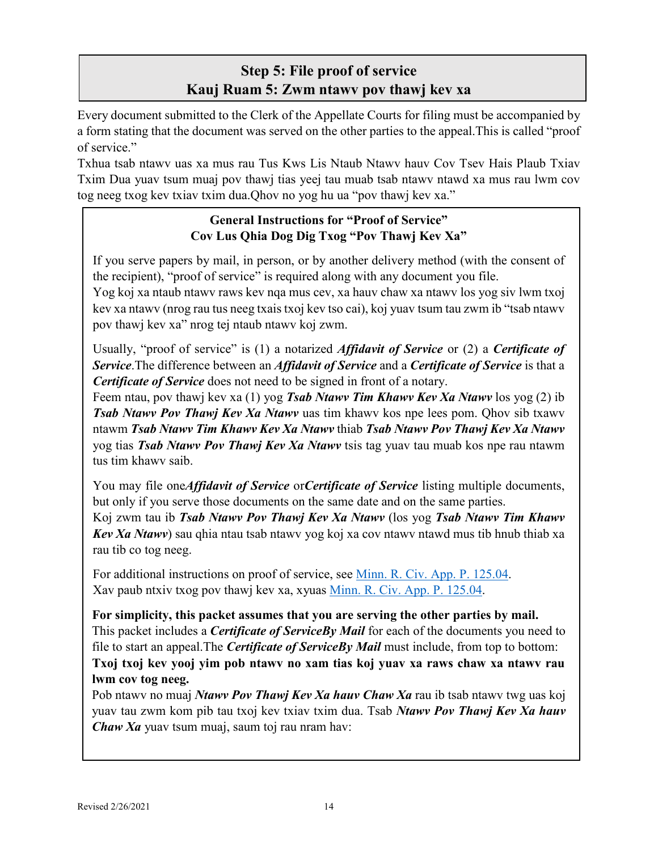## **Step 5: File proof of service Kauj Ruam 5: Zwm ntawv pov thawj kev xa**

Every document submitted to the Clerk of the Appellate Courts for filing must be accompanied by a form stating that the document was served on the other parties to the appeal.This is called "proof of service."

Txhua tsab ntawv uas xa mus rau Tus Kws Lis Ntaub Ntawv hauv Cov Tsev Hais Plaub Txiav Txim Dua yuav tsum muaj pov thawj tias yeej tau muab tsab ntawv ntawd xa mus rau lwm cov tog neeg txog kev txiav txim dua.Qhov no yog hu ua "pov thawj kev xa."

### **General Instructions for "Proof of Service" Cov Lus Qhia Dog Dig Txog "Pov Thawj Kev Xa"**

If you serve papers by mail, in person, or by another delivery method (with the consent of the recipient), "proof of service" is required along with any document you file.

Yog koj xa ntaub ntawv raws kev nqa mus cev, xa hauv chaw xa ntawv los yog siv lwm txoj kev xa ntawv (nrog rau tus neeg txais txoj kev tso cai), koj yuav tsum tau zwm ib "tsab ntawv pov thawj kev xa" nrog tej ntaub ntawv koj zwm.

Usually, "proof of service" is (1) a notarized *Affidavit of Service* or (2) a *Certificate of Service*.The difference between an *Affidavit of Service* and a *Certificate of Service* is that a *Certificate of Service* does not need to be signed in front of a notary.

Feem ntau, pov thawj kev xa (1) yog *Tsab Ntawv Tim Khawv Kev Xa Ntawv* los yog (2) ib *Tsab Ntawv Pov Thawj Kev Xa Ntawv* uas tim khawv kos npe lees pom. Qhov sib txawv ntawm *Tsab Ntawv Tim Khawv Kev Xa Ntawv* thiab *Tsab Ntawv Pov Thawj Kev Xa Ntawv* yog tias *Tsab Ntawv Pov Thawj Kev Xa Ntawv* tsis tag yuav tau muab kos npe rau ntawm tus tim khawv saib.

You may file one*Affidavit of Service* or Certificate of Service listing multiple documents, but only if you serve those documents on the same date and on the same parties.

Koj zwm tau ib *Tsab Ntawv Pov Thawj Kev Xa Ntawv* (los yog *Tsab Ntawv Tim Khawv Kev Xa Ntawv*) sau qhia ntau tsab ntawv yog koj xa cov ntawv ntawd mus tib hnub thiab xa rau tib co tog neeg.

For additional instructions on proof of service, see [Minn. R. Civ. App. P. 125.04.](https://www.revisor.mn.gov/court_rules/ap/subtype/rcap/id/125/#125.04) Xav paub ntxiv txog pov thawj kev xa, xyuas [Minn. R. Civ. App. P. 125.04.](https://www.revisor.mn.gov/court_rules/ap/subtype/rcap/id/125/#125.04)

**For simplicity, this packet assumes that you are serving the other parties by mail.** This packet includes a *Certificate of ServiceBy Mail* for each of the documents you need to file to start an appeal.The *Certificate of ServiceBy Mail* must include, from top to bottom: **Txoj txoj kev yooj yim pob ntawv no xam tias koj yuav xa raws chaw xa ntawv rau lwm cov tog neeg.** 

Pob ntawv no muaj *Ntawv Pov Thawj Kev Xa hauv Chaw Xa* rau ib tsab ntawv twg uas koj yuav tau zwm kom pib tau txoj kev txiav txim dua. Tsab *Ntawv Pov Thawj Kev Xa hauv Chaw Xa* yuav tsum muaj, saum toj rau nram hav: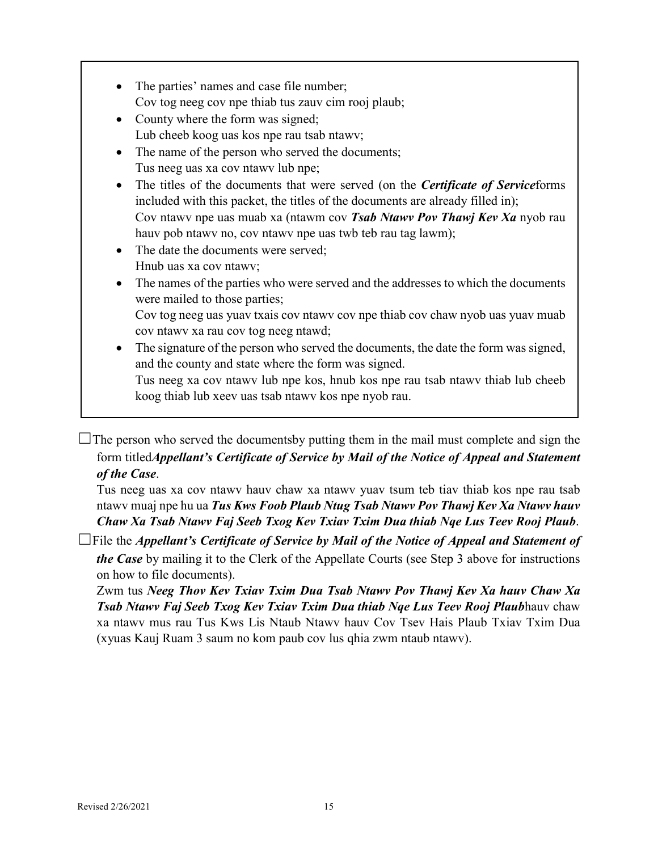- The parties' names and case file number; Cov tog neeg cov npe thiab tus zauv cim rooj plaub;
- County where the form was signed; Lub cheeb koog uas kos npe rau tsab ntawv;
- The name of the person who served the documents; Tus neeg uas xa cov ntawv lub npe;
- The titles of the documents that were served (on the *Certificate of Service*forms included with this packet, the titles of the documents are already filled in); Cov ntawv npe uas muab xa (ntawm cov *Tsab Ntawv Pov Thawj Kev Xa* nyob rau hauv pob ntawv no, cov ntawv npe uas twb teb rau tag lawm);
- The date the documents were served; Hnub uas xa cov ntawv;
- The names of the parties who were served and the addresses to which the documents were mailed to those parties;

Cov tog neeg uas yuav txais cov ntawv cov npe thiab cov chaw nyob uas yuav muab cov ntawv xa rau cov tog neeg ntawd;

• The signature of the person who served the documents, the date the form was signed, and the county and state where the form was signed.

Tus neeg xa cov ntawv lub npe kos, hnub kos npe rau tsab ntawv thiab lub cheeb koog thiab lub xeev uas tsab ntawv kos npe nyob rau.

 $\Box$  The person who served the documentsby putting them in the mail must complete and sign the form titled*Appellant's Certificate of Service by Mail of the Notice of Appeal and Statement of the Case*.

Tus neeg uas xa cov ntawv hauv chaw xa ntawv yuav tsum teb tiav thiab kos npe rau tsab ntawv muaj npe hu ua *Tus Kws Foob Plaub Ntug Tsab Ntawv Pov Thawj Kev Xa Ntawv hauv Chaw Xa Tsab Ntawv Faj Seeb Txog Kev Txiav Txim Dua thiab Nqe Lus Teev Rooj Plaub*.

☐File the *Appellant's Certificate of Service by Mail of the Notice of Appeal and Statement of the Case* by mailing it to the Clerk of the Appellate Courts (see Step 3 above for instructions on how to file documents).

Zwm tus *Neeg Thov Kev Txiav Txim Dua Tsab Ntawv Pov Thawj Kev Xa hauv Chaw Xa Tsab Ntawv Faj Seeb Txog Kev Txiav Txim Dua thiab Nqe Lus Teev Rooj Plaub*hauv chaw xa ntawv mus rau Tus Kws Lis Ntaub Ntawv hauv Cov Tsev Hais Plaub Txiav Txim Dua (xyuas Kauj Ruam 3 saum no kom paub cov lus qhia zwm ntaub ntawv).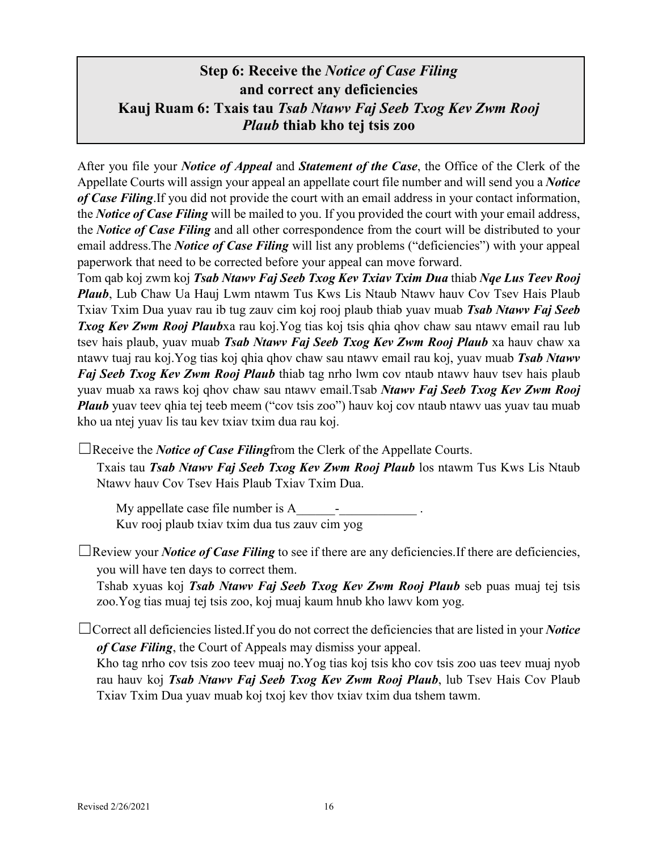## **Step 6: Receive the** *Notice of Case Filing* **and correct any deficiencies Kauj Ruam 6: Txais tau** *Tsab Ntawv Faj Seeb Txog Kev Zwm Rooj Plaub* **thiab kho tej tsis zoo**

After you file your *Notice of Appeal* and *Statement of the Case*, the Office of the Clerk of the Appellate Courts will assign your appeal an appellate court file number and will send you a *Notice of Case Filing*.If you did not provide the court with an email address in your contact information, the *Notice of Case Filing* will be mailed to you. If you provided the court with your email address, the *Notice of Case Filing* and all other correspondence from the court will be distributed to your email address.The *Notice of Case Filing* will list any problems ("deficiencies") with your appeal paperwork that need to be corrected before your appeal can move forward.

Tom qab koj zwm koj *Tsab Ntawv Faj Seeb Txog Kev Txiav Txim Dua* thiab *Nqe Lus Teev Rooj Plaub*, Lub Chaw Ua Hauj Lwm ntawm Tus Kws Lis Ntaub Ntawv hauv Cov Tsev Hais Plaub Txiav Txim Dua yuav rau ib tug zauv cim koj rooj plaub thiab yuav muab *Tsab Ntawv Faj Seeb Txog Kev Zwm Rooj Plaub*xa rau koj.Yog tias koj tsis qhia qhov chaw sau ntawv email rau lub tsev hais plaub, yuav muab *Tsab Ntawv Faj Seeb Txog Kev Zwm Rooj Plaub* xa hauv chaw xa ntawv tuaj rau koj.Yog tias koj qhia qhov chaw sau ntawv email rau koj, yuav muab *Tsab Ntawv Faj Seeb Txog Kev Zwm Rooj Plaub* thiab tag nrho lwm cov ntaub ntawv hauv tsev hais plaub yuav muab xa raws koj qhov chaw sau ntawv email.Tsab *Ntawv Faj Seeb Txog Kev Zwm Rooj Plaub* yuav teev qhia tej teeb meem ("cov tsis zoo") hauv koj cov ntaub ntawv uas yuav tau muab kho ua ntej yuav lis tau kev txiav txim dua rau koj.

☐Receive the *Notice of Case Filing*from the Clerk of the Appellate Courts.

Txais tau *Tsab Ntawv Faj Seeb Txog Kev Zwm Rooj Plaub* los ntawm Tus Kws Lis Ntaub Ntawv hauv Cov Tsev Hais Plaub Txiav Txim Dua.

My appellate case file number is  $A$ Kuv rooj plaub txiav txim dua tus zauv cim yog

☐Review your *Notice of Case Filing* to see if there are any deficiencies.If there are deficiencies, you will have ten days to correct them.

Tshab xyuas koj *Tsab Ntawv Faj Seeb Txog Kev Zwm Rooj Plaub* seb puas muaj tej tsis zoo.Yog tias muaj tej tsis zoo, koj muaj kaum hnub kho lawv kom yog.

☐Correct all deficiencies listed.If you do not correct the deficiencies that are listed in your *Notice of Case Filing*, the Court of Appeals may dismiss your appeal.

Kho tag nrho cov tsis zoo teev muaj no.Yog tias koj tsis kho cov tsis zoo uas teev muaj nyob rau hauv koj *Tsab Ntawv Faj Seeb Txog Kev Zwm Rooj Plaub*, lub Tsev Hais Cov Plaub Txiav Txim Dua yuav muab koj txoj kev thov txiav txim dua tshem tawm.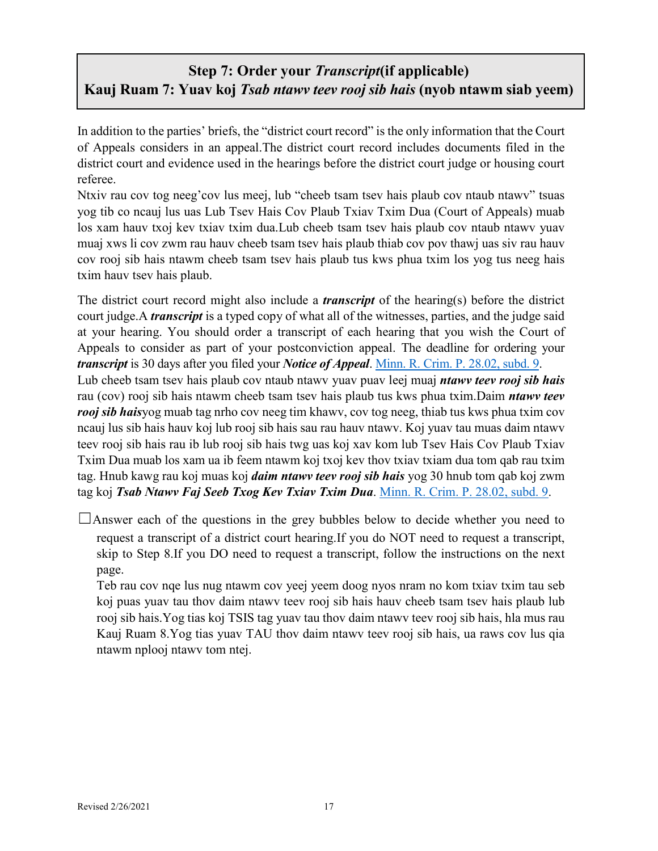## **Step 7: Order your** *Transcript***(if applicable) Kauj Ruam 7: Yuav koj** *Tsab ntawv teev rooj sib hais* **(nyob ntawm siab yeem)**

In addition to the parties' briefs, the "district court record" is the only information that the Court of Appeals considers in an appeal.The district court record includes documents filed in the district court and evidence used in the hearings before the district court judge or housing court referee.

Ntxiv rau cov tog neeg'cov lus meej, lub "cheeb tsam tsev hais plaub cov ntaub ntawv" tsuas yog tib co ncauj lus uas Lub Tsev Hais Cov Plaub Txiav Txim Dua (Court of Appeals) muab los xam hauv txoj kev txiav txim dua.Lub cheeb tsam tsev hais plaub cov ntaub ntawv yuav muaj xws li cov zwm rau hauv cheeb tsam tsev hais plaub thiab cov pov thawj uas siv rau hauv cov rooj sib hais ntawm cheeb tsam tsev hais plaub tus kws phua txim los yog tus neeg hais txim hauv tsev hais plaub.

The district court record might also include a *transcript* of the hearing(s) before the district court judge.A *transcript* is a typed copy of what all of the witnesses, parties, and the judge said at your hearing. You should order a transcript of each hearing that you wish the Court of Appeals to consider as part of your postconviction appeal. The deadline for ordering your *transcript* is 30 days after you filed your *Notice of Appeal*. [Minn. R. Crim. P. 28.02, subd. 9.](https://www.revisor.mn.gov/court_rules/rule.php?type=cr&id=28#28.02) Lub cheeb tsam tsev hais plaub cov ntaub ntawv yuav puav leej muaj *ntawv teev rooj sib hais* rau (cov) rooj sib hais ntawm cheeb tsam tsev hais plaub tus kws phua txim.Daim *ntawv teev rooj sib hais*yog muab tag nrho cov neeg tim khawv, cov tog neeg, thiab tus kws phua txim cov ncauj lus sib hais hauv koj lub rooj sib hais sau rau hauv ntawv. Koj yuav tau muas daim ntawv teev rooj sib hais rau ib lub rooj sib hais twg uas koj xav kom lub Tsev Hais Cov Plaub Txiav Txim Dua muab los xam ua ib feem ntawm koj txoj kev thov txiav txiam dua tom qab rau txim tag. Hnub kawg rau koj muas koj *daim ntawv teev rooj sib hais* yog 30 hnub tom qab koj zwm tag koj *Tsab Ntawv Faj Seeb Txog Kev Txiav Txim Dua*. [Minn. R. Crim. P. 28.02, subd. 9.](https://www.revisor.mn.gov/court_rules/rule.php?type=cr&id=28#28.02)

 $\Box$ Answer each of the questions in the grey bubbles below to decide whether you need to request a transcript of a district court hearing.If you do NOT need to request a transcript, skip to Step 8.If you DO need to request a transcript, follow the instructions on the next page.

Teb rau cov nqe lus nug ntawm cov yeej yeem doog nyos nram no kom txiav txim tau seb koj puas yuav tau thov daim ntawv teev rooj sib hais hauv cheeb tsam tsev hais plaub lub rooj sib hais.Yog tias koj TSIS tag yuav tau thov daim ntawv teev rooj sib hais, hla mus rau Kauj Ruam 8.Yog tias yuav TAU thov daim ntawv teev rooj sib hais, ua raws cov lus qia ntawm nplooj ntawv tom ntej.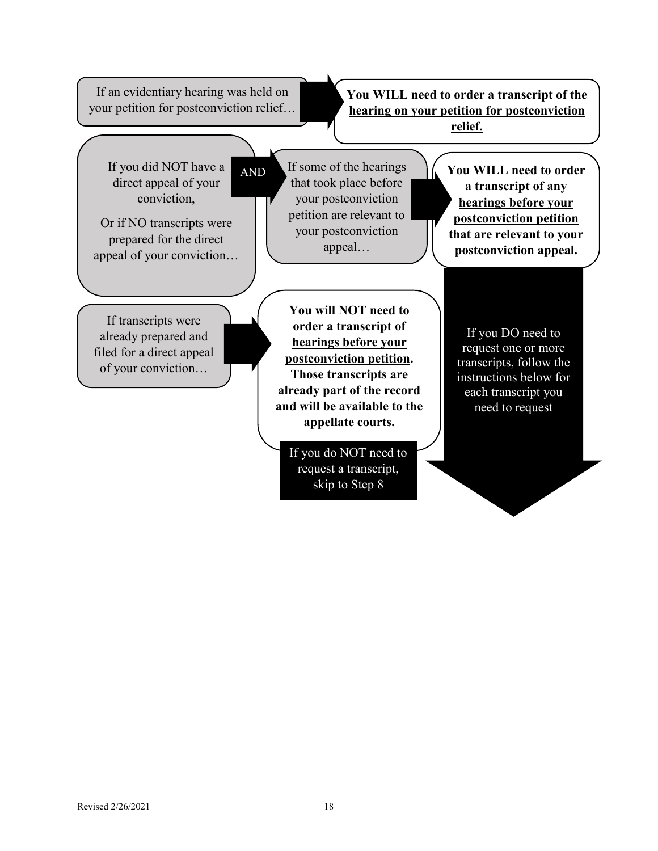If an evidentiary hearing was held on your petition for postconviction relief…

**You WILL need to order a transcript of the hearing on your petition for postconviction relief.**

If you did NOT have a direct appeal of your conviction,

Or if NO transcripts were prepared for the direct appeal of your conviction… If some of the hearings that took place before your postconviction petition are relevant to your postconviction appeal…

AND **If some of the hearings**  $\left| \begin{array}{c} \Lambda \end{array} \right|$  You WILL need to order **a transcript of any hearings before your postconviction petition that are relevant to your postconviction appeal.**

If transcripts were already prepared and filed for a direct appeal of your conviction…

**You will NOT need to order a transcript of hearings before your postconviction petition. Those transcripts are already part of the record and will be available to the appellate courts.** 

If you do NOT need to request a transcript, skip to Step 8

If you DO need to request one or more transcripts, follow the instructions below for each transcript you need to request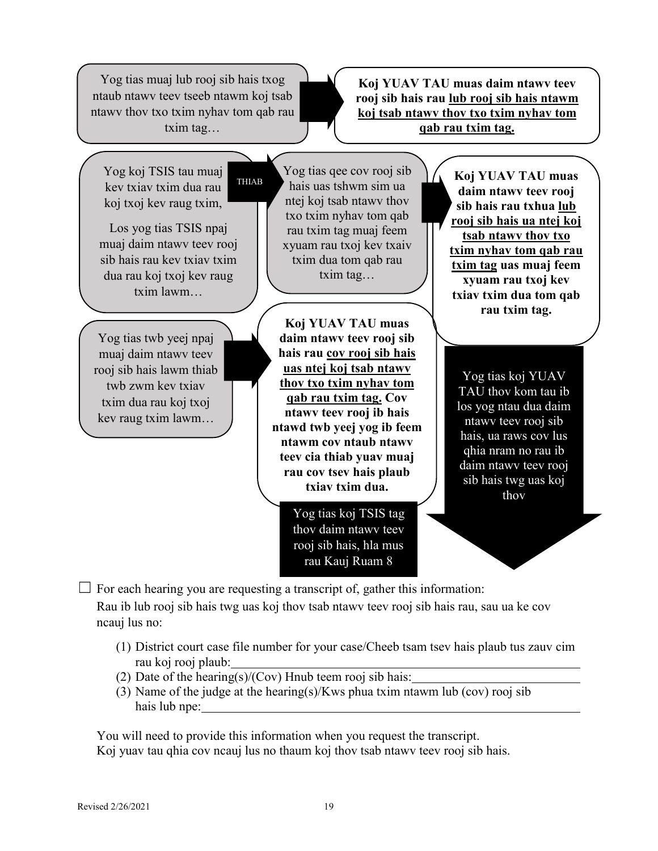Yog tias muaj lub rooj sib hais txog ntaub ntawv teev tseeb ntawm koj tsab ntawv thov txo txim nyhav tom qab rau txim tag…



**Koj YUAV TAU muas daim ntawv teev rooj sib hais rau lub rooj sib hais ntawm koj tsab ntawv thov txo txim nyhav tom qab rau txim tag.**

Yog koj TSIS tau muaj kev txiav txim dua rau koj txoj kev raug txim,

Los yog tias TSIS npaj muaj daim ntawv teev rooj sib hais rau kev txiav txim dua rau koj txoj kev raug txim lawm…

Yog tias twb yeej npaj muaj daim ntawv teev rooj sib hais lawm thiab twb zwm kev txiav txim dua rau koj txoj kev raug txim lawm…

Yog tias qee cov rooj sib hais uas tshwm sim ua ntej koj tsab ntawv thov txo txim nyhav tom qab rau txim tag muaj feem xyuam rau txoj kev txaiv txim dua tom qab rau txim tag… **KOJ YUAV TAU muas**<br>**KOJ YUAV TAU muas** 

> **Koj YUAV TAU muas daim ntawv teev rooj sib hais rau cov rooj sib hais uas ntej koj tsab ntawv thov txo txim nyhav tom qab rau txim tag. Cov ntawv teev rooj ib hais ntawd twb yeej yog ib feem ntawm cov ntaub ntawv teev cia thiab yuav muaj rau cov tsev hais plaub txiav txim dua.**

> > Yog tias koj TSIS tag thov daim ntawv teev rooj sib hais, hla mus rau Kauj Ruam 8

**daim ntawv teev rooj sib hais rau txhua lub rooj sib hais ua ntej koj tsab ntawv thov txo txim nyhav tom qab rau txim tag uas muaj feem xyuam rau txoj kev txiav txim dua tom qab rau txim tag.**

Yog tias koj YUAV TAU thov kom tau ib los yog ntau dua daim ntawv teev rooj sib hais, ua raws cov lus qhia nram no rau ib daim ntawv teev rooj sib hais twg uas koj thov

 $\Box$  For each hearing you are requesting a transcript of, gather this information: Rau ib lub rooj sib hais twg uas koj thov tsab ntawv teev rooj sib hais rau, sau ua ke cov ncauj lus no:

- (1) District court case file number for your case/Cheeb tsam tsev hais plaub tus zauv cim rau koj rooj plaub:
- (2) Date of the hearing(s)/(Cov) Hnub teem rooj sib hais:
- (3) Name of the judge at the hearing(s)/Kws phua txim ntawm lub (cov) rooj sib hais lub npe:

You will need to provide this information when you request the transcript. Koj yuav tau qhia cov ncauj lus no thaum koj thov tsab ntawv teev rooj sib hais.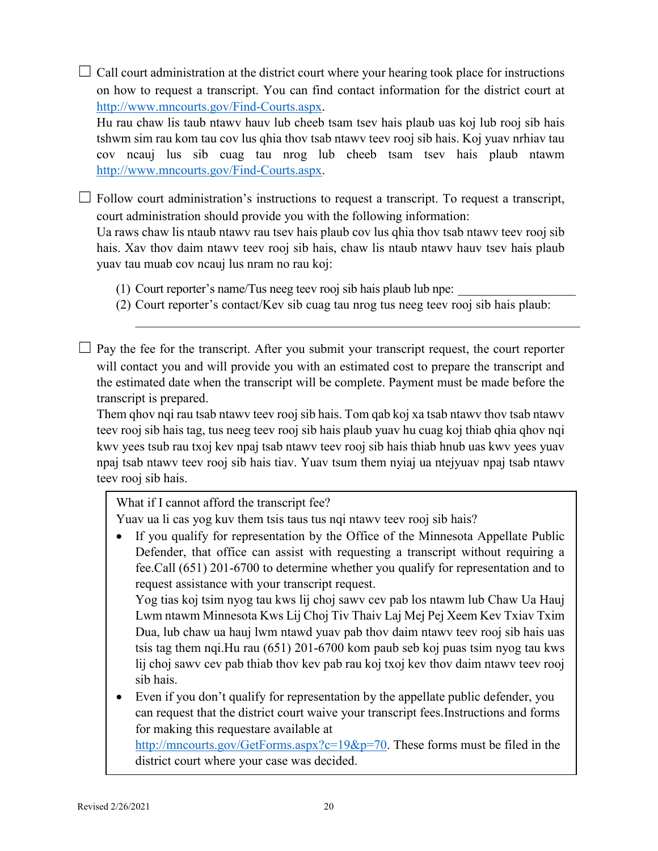$\Box$  Call court administration at the district court where your hearing took place for instructions on how to request a transcript. You can find contact information for the district court at [http://www.mncourts.gov/Find-Courts.aspx.](http://www.mncourts.gov/Find-Courts.aspx)

Hu rau chaw lis taub ntawv hauv lub cheeb tsam tsev hais plaub uas koj lub rooj sib hais tshwm sim rau kom tau cov lus qhia thov tsab ntawv teev rooj sib hais. Koj yuav nrhiav tau cov ncauj lus sib cuag tau nrog lub cheeb tsam tsev hais plaub ntawm [http://www.mncourts.gov/Find-Courts.aspx.](http://www.mncourts.gov/Find-Courts.aspx)

 $\Box$  Follow court administration's instructions to request a transcript. To request a transcript, court administration should provide you with the following information:

Ua raws chaw lis ntaub ntawv rau tsev hais plaub cov lus qhia thov tsab ntawv teev rooj sib hais. Xav thov daim ntawv teev rooj sib hais, chaw lis ntaub ntawv hauv tsev hais plaub yuav tau muab cov ncauj lus nram no rau koj:

- (1) Court reporter's name/Tus neeg teev rooj sib hais plaub lub npe:
- (2) Court reporter's contact/Kev sib cuag tau nrog tus neeg teev rooj sib hais plaub:

\_\_\_\_\_\_\_\_\_\_\_\_\_\_\_\_\_\_\_\_\_\_\_\_\_\_\_\_\_\_\_\_\_\_\_\_\_\_\_\_\_\_\_\_\_\_\_\_\_\_\_\_\_\_\_\_\_\_\_\_\_\_\_\_\_\_\_\_\_

 $\Box$  Pay the fee for the transcript. After you submit your transcript request, the court reporter will contact you and will provide you with an estimated cost to prepare the transcript and the estimated date when the transcript will be complete. Payment must be made before the transcript is prepared.

Them qhov nqi rau tsab ntawv teev rooj sib hais. Tom qab koj xa tsab ntawv thov tsab ntawv teev rooj sib hais tag, tus neeg teev rooj sib hais plaub yuav hu cuag koj thiab qhia qhov nqi kwv yees tsub rau txoj kev npaj tsab ntawv teev rooj sib hais thiab hnub uas kwv yees yuav npaj tsab ntawv teev rooj sib hais tiav. Yuav tsum them nyiaj ua ntejyuav npaj tsab ntawv teev rooj sib hais.

What if I cannot afford the transcript fee?

Yuav ua li cas yog kuv them tsis taus tus nqi ntawv teev rooj sib hais?

• If you qualify for representation by the Office of the Minnesota Appellate Public Defender, that office can assist with requesting a transcript without requiring a fee.Call (651) 201-6700 to determine whether you qualify for representation and to request assistance with your transcript request.

Yog tias koj tsim nyog tau kws lij choj sawv cev pab los ntawm lub Chaw Ua Hauj Lwm ntawm Minnesota Kws Lij Choj Tiv Thaiv Laj Mej Pej Xeem Kev Txiav Txim Dua, lub chaw ua hauj lwm ntawd yuav pab thov daim ntawv teev rooj sib hais uas tsis tag them nqi.Hu rau (651) 201-6700 kom paub seb koj puas tsim nyog tau kws lij choj sawv cev pab thiab thov kev pab rau koj txoj kev thov daim ntawv teev rooj sib hais.

• Even if you don't qualify for representation by the appellate public defender, you can request that the district court waive your transcript fees.Instructions and forms for making this requestare available at [http://mncourts.gov/GetForms.aspx?c=19&p=70.](http://mncourts.gov/GetForms.aspx?c=19&p=70) These forms must be filed in the district court where your case was decided.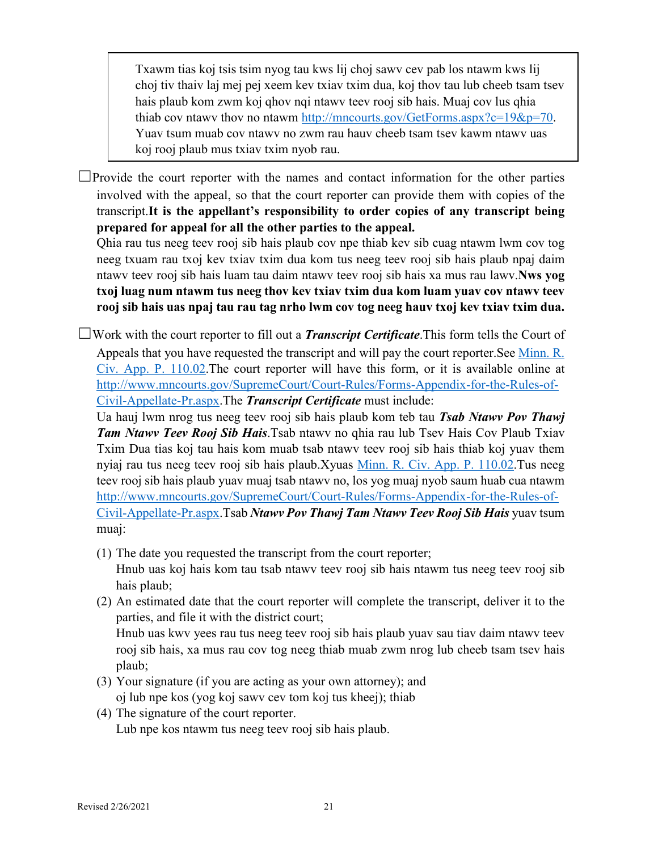Txawm tias koj tsis tsim nyog tau kws lij choj sawv cev pab los ntawm kws lij choj tiv thaiv laj mej pej xeem kev txiav txim dua, koj thov tau lub cheeb tsam tsev hais plaub kom zwm koj qhov nqi ntawv teev rooj sib hais. Muaj cov lus qhia thiab cov ntawv thov no ntawm [http://mncourts.gov/GetForms.aspx?c=19&p=70.](http://mncourts.gov/GetForms.aspx?c=19&p=70) Yuav tsum muab cov ntawv no zwm rau hauv cheeb tsam tsev kawm ntawv uas koj rooj plaub mus txiav txim nyob rau.

 $\Box$ Provide the court reporter with the names and contact information for the other parties involved with the appeal, so that the court reporter can provide them with copies of the transcript.**It is the appellant's responsibility to order copies of any transcript being prepared for appeal for all the other parties to the appeal.**

Qhia rau tus neeg teev rooj sib hais plaub cov npe thiab kev sib cuag ntawm lwm cov tog neeg txuam rau txoj kev txiav txim dua kom tus neeg teev rooj sib hais plaub npaj daim ntawv teev rooj sib hais luam tau daim ntawv teev rooj sib hais xa mus rau lawv.**Nws yog txoj luag num ntawm tus neeg thov kev txiav txim dua kom luam yuav cov ntawv teev rooj sib hais uas npaj tau rau tag nrho lwm cov tog neeg hauv txoj kev txiav txim dua.**

☐Work with the court reporter to fill out a *Transcript Certificate*.This form tells the Court of Appeals that you have requested the transcript and will pay the court reporter.See [Minn. R.](https://www.revisor.mn.gov/court_rules/ap/subtype/rcap/id/110/#110.02)  [Civ. App. P. 110.02.](https://www.revisor.mn.gov/court_rules/ap/subtype/rcap/id/110/#110.02)The court reporter will have this form, or it is available online at [http://www.mncourts.gov/SupremeCourt/Court-Rules/Forms-Appendix-for-the-Rules-of-](http://www.mncourts.gov/SupremeCourt/Court-Rules/Forms-Appendix-for-the-Rules-of-Civil-Appellate-Pr.aspx)[Civil-Appellate-Pr.aspx.](http://www.mncourts.gov/SupremeCourt/Court-Rules/Forms-Appendix-for-the-Rules-of-Civil-Appellate-Pr.aspx)The *Transcript Certificate* must include:

Ua hauj lwm nrog tus neeg teev rooj sib hais plaub kom teb tau *Tsab Ntawv Pov Thawj Tam Ntawv Teev Rooj Sib Hais*.Tsab ntawv no qhia rau lub Tsev Hais Cov Plaub Txiav Txim Dua tias koj tau hais kom muab tsab ntawv teev rooj sib hais thiab koj yuav them nyiaj rau tus neeg teev rooj sib hais plaub.Xyuas [Minn. R. Civ. App. P. 110.02.](https://www.revisor.mn.gov/court_rules/ap/subtype/rcap/id/110/#110.02)Tus neeg teev rooj sib hais plaub yuav muaj tsab ntawv no, los yog muaj nyob saum huab cua ntawm [http://www.mncourts.gov/SupremeCourt/Court-Rules/Forms-Appendix-for-the-Rules-of-](http://www.mncourts.gov/SupremeCourt/Court-Rules/Forms-Appendix-for-the-Rules-of-Civil-Appellate-Pr.aspx)[Civil-Appellate-Pr.aspx.](http://www.mncourts.gov/SupremeCourt/Court-Rules/Forms-Appendix-for-the-Rules-of-Civil-Appellate-Pr.aspx)Tsab *Ntawv Pov Thawj Tam Ntawv Teev Rooj Sib Hais* yuav tsum muaj:

(1) The date you requested the transcript from the court reporter;

Hnub uas koj hais kom tau tsab ntawv teev rooj sib hais ntawm tus neeg teev rooj sib hais plaub;

(2) An estimated date that the court reporter will complete the transcript, deliver it to the parties, and file it with the district court;

Hnub uas kwv yees rau tus neeg teev rooj sib hais plaub yuav sau tiav daim ntawv teev rooj sib hais, xa mus rau cov tog neeg thiab muab zwm nrog lub cheeb tsam tsev hais plaub;

- (3) Your signature (if you are acting as your own attorney); and oj lub npe kos (yog koj sawv cev tom koj tus kheej); thiab
- (4) The signature of the court reporter. Lub npe kos ntawm tus neeg teev rooj sib hais plaub.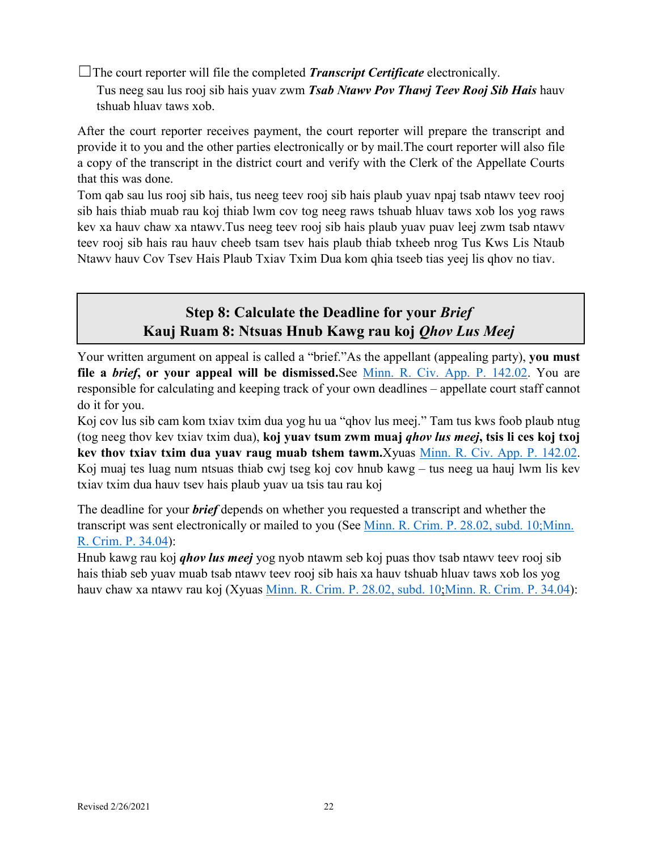☐The court reporter will file the completed *Transcript Certificate* electronically. Tus neeg sau lus rooj sib hais yuav zwm *Tsab Ntawv Pov Thawj Teev Rooj Sib Hais* hauv tshuab hluav taws xob.

After the court reporter receives payment, the court reporter will prepare the transcript and provide it to you and the other parties electronically or by mail.The court reporter will also file a copy of the transcript in the district court and verify with the Clerk of the Appellate Courts that this was done.

Tom qab sau lus rooj sib hais, tus neeg teev rooj sib hais plaub yuav npaj tsab ntawv teev rooj sib hais thiab muab rau koj thiab lwm cov tog neeg raws tshuab hluav taws xob los yog raws kev xa hauv chaw xa ntawv.Tus neeg teev rooj sib hais plaub yuav puav leej zwm tsab ntawv teev rooj sib hais rau hauv cheeb tsam tsev hais plaub thiab txheeb nrog Tus Kws Lis Ntaub Ntawv hauv Cov Tsev Hais Plaub Txiav Txim Dua kom qhia tseeb tias yeej lis qhov no tiav.

## **Step 8: Calculate the Deadline for your** *Brief* **Kauj Ruam 8: Ntsuas Hnub Kawg rau koj** *Qhov Lus Meej*

Your written argument on appeal is called a "brief."As the appellant (appealing party), **you must file a** *brief***, or your appeal will be dismissed.**See [Minn. R. Civ. App. P. 142.02.](https://www.revisor.mn.gov/court_rules/ap/subtype/rcap/id/142/#142.02) You are responsible for calculating and keeping track of your own deadlines – appellate court staff cannot do it for you.

Koj cov lus sib cam kom txiav txim dua yog hu ua "qhov lus meej." Tam tus kws foob plaub ntug (tog neeg thov kev txiav txim dua), **koj yuav tsum zwm muaj** *qhov lus meej***, tsis li ces koj txoj kev thov txiav txim dua yuav raug muab tshem tawm.**Xyuas [Minn. R. Civ. App. P. 142.02.](https://www.revisor.mn.gov/court_rules/ap/subtype/rcap/id/142/#142.02) Koj muaj tes luag num ntsuas thiab cwj tseg koj cov hnub kawg – tus neeg ua hauj lwm lis kev txiav txim dua hauv tsev hais plaub yuav ua tsis tau rau koj

The deadline for your *brief* depends on whether you requested a transcript and whether the transcript was sent electronically or mailed to you (See [Minn. R. Crim. P. 28.02, subd. 10](https://www.revisor.mn.gov/court_rules/cr/id/28/#28.02)[;Minn.](https://www.revisor.mn.gov/court_rules/cr/id/34/#34.04)  [R. Crim. P. 34.04\)](https://www.revisor.mn.gov/court_rules/cr/id/34/#34.04):

Hnub kawg rau koj *qhov lus meej* yog nyob ntawm seb koj puas thov tsab ntawv teev rooj sib hais thiab seb yuav muab tsab ntawv teev rooj sib hais xa hauv tshuab hluav taws xob los yog hauv chaw xa ntawv rau koj (Xyuas [Minn. R. Crim. P. 28.02, subd. 10;](https://www.revisor.mn.gov/court_rules/cr/id/28/#28.02) [Minn. R. Crim. P. 34.04\)](https://www.revisor.mn.gov/court_rules/cr/id/34/#34.04):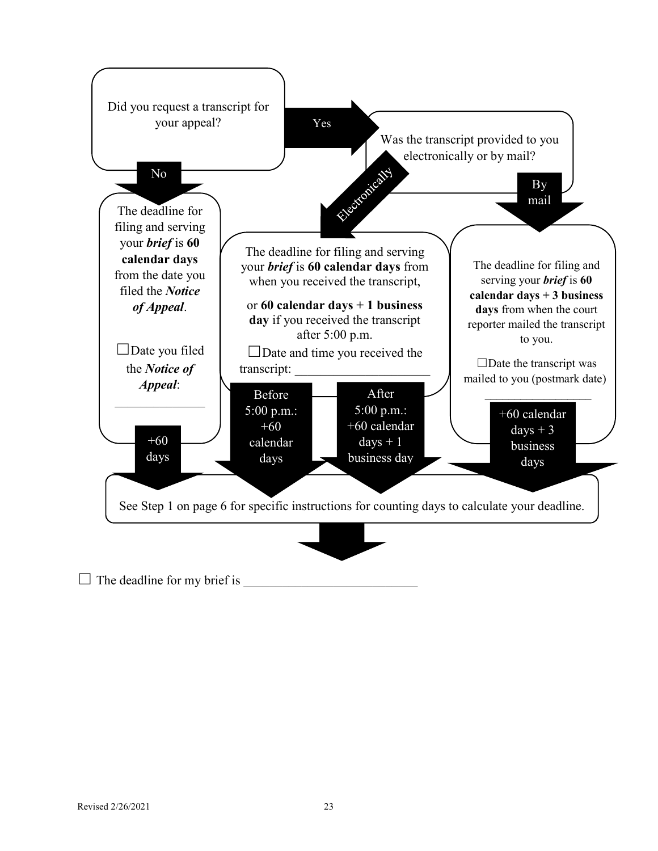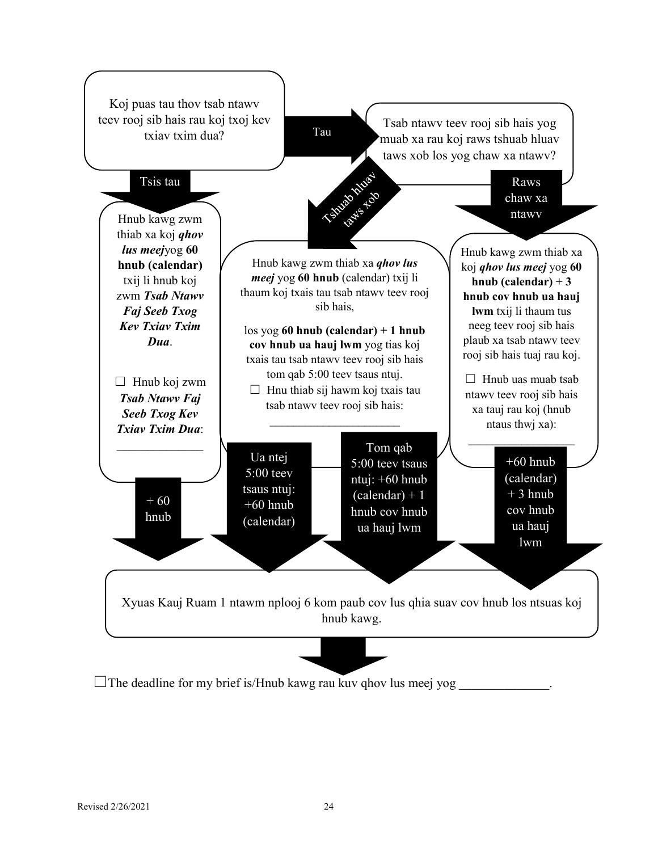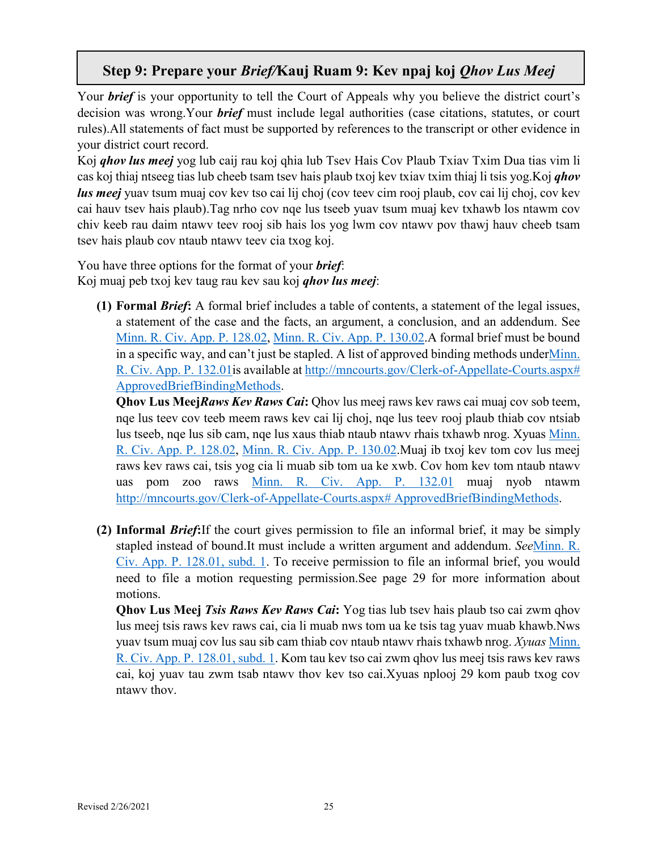## **Step 9: Prepare your** *Brief/***Kauj Ruam 9: Kev npaj koj** *Qhov Lus Meej*

Your *brief* is your opportunity to tell the Court of Appeals why you believe the district court's decision was wrong.Your *brief* must include legal authorities (case citations, statutes, or court rules).All statements of fact must be supported by references to the transcript or other evidence in your district court record.

Koj *qhov lus meej* yog lub caij rau koj qhia lub Tsev Hais Cov Plaub Txiav Txim Dua tias vim li cas koj thiaj ntseeg tias lub cheeb tsam tsev hais plaub txoj kev txiav txim thiaj li tsis yog.Koj *qhov lus meej* yuav tsum muaj cov kev tso cai lij choj (cov teev cim rooj plaub, cov cai lij choj, cov kev cai hauv tsev hais plaub).Tag nrho cov nqe lus tseeb yuav tsum muaj kev txhawb los ntawm cov chiv keeb rau daim ntawv teev rooj sib hais los yog lwm cov ntawv pov thawj hauv cheeb tsam tsev hais plaub cov ntaub ntawv teev cia txog koj.

You have three options for the format of your *brief*: Koj muaj peb txoj kev taug rau kev sau koj *qhov lus meej*:

**(1) Formal** *Brief***:** A formal brief includes a table of contents, a statement of the legal issues, a statement of the case and the facts, an argument, a conclusion, and an addendum. See [Minn. R. Civ. App. P. 128.02,](https://www.revisor.mn.gov/court_rules/ap/subtype/rcap/id/128/#128.02) [Minn. R. Civ. App. P. 130.02.](https://www.revisor.mn.gov/court_rules/ap/subtype/rcap/id/130/#130.02)A formal brief must be bound in a specific way, and can't just be stapled. A list of approved binding methods unde[rMinn.](https://www.revisor.mn.gov/court_rules/ap/subtype/rcap/id/132/#132.01)  R. Civ. App. P. 132.01 is available at http://mncourts.gov/Clerk-of-Appellate-Courts.aspx# [ApprovedBriefBindingMethods.](http://mncourts.gov/Clerk-of-Appellate-Courts.aspx#%20ApprovedBriefBindingMethods)

**Qhov Lus Meej***Raws Kev Raws Cai***:** Qhov lus meej raws kev raws cai muaj cov sob teem, nqe lus teev cov teeb meem raws kev cai lij choj, nqe lus teev rooj plaub thiab cov ntsiab lus tseeb, nqe lus sib cam, nqe lus xaus thiab ntaub ntawv rhais txhawb nrog. Xyuas [Minn.](https://www.revisor.mn.gov/court_rules/ap/subtype/rcap/id/128/#128.02)  [R. Civ. App. P. 128.02,](https://www.revisor.mn.gov/court_rules/ap/subtype/rcap/id/128/#128.02) [Minn. R. Civ. App. P. 130.02.](https://www.revisor.mn.gov/court_rules/ap/subtype/rcap/id/130/#130.02)Muaj ib txoj kev tom cov lus meej raws kev raws cai, tsis yog cia li muab sib tom ua ke xwb. Cov hom kev tom ntaub ntawv uas pom zoo raws [Minn. R. Civ. App. P. 132.01](https://www.revisor.mn.gov/court_rules/ap/subtype/rcap/id/132/#132.01) muaj nyob ntawm [http://mncourts.gov/Clerk-of-Appellate-Courts.aspx# ApprovedBriefBindingMethods.](http://mncourts.gov/Clerk-of-Appellate-Courts.aspx#%20ApprovedBriefBindingMethods)

**(2) Informal** *Brief***:**If the court gives permission to file an informal brief, it may be simply stapled instead of bound.It must include a written argument and addendum. *See*[Minn. R.](https://www.revisor.mn.gov/court_rules/ap/subtype/rcap/id/128/#128.01)  [Civ. App. P. 128.01, subd. 1.](https://www.revisor.mn.gov/court_rules/ap/subtype/rcap/id/128/#128.01) To receive permission to file an informal brief, you would need to file a motion requesting permission.See page 29 for more information about motions.

**Qhov Lus Meej** *Tsis Raws Kev Raws Cai***:** Yog tias lub tsev hais plaub tso cai zwm qhov lus meej tsis raws kev raws cai, cia li muab nws tom ua ke tsis tag yuav muab khawb.Nws yuav tsum muaj cov lus sau sib cam thiab cov ntaub ntawv rhais txhawb nrog. *Xyuas* [Minn.](https://www.revisor.mn.gov/court_rules/ap/subtype/rcap/id/128/#128.01)  [R. Civ. App. P. 128.01, subd. 1.](https://www.revisor.mn.gov/court_rules/ap/subtype/rcap/id/128/#128.01) Kom tau kev tso cai zwm qhov lus meej tsis raws kev raws cai, koj yuav tau zwm tsab ntawv thov kev tso cai.Xyuas nplooj 29 kom paub txog cov ntawv thov.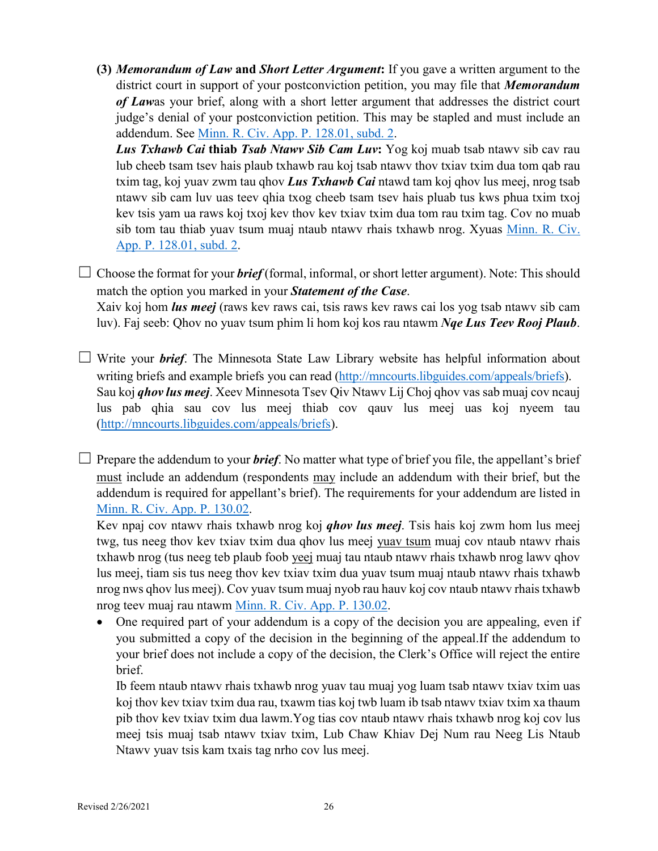**(3)** *Memorandum of Law* **and** *Short Letter Argument***:** If you gave a written argument to the district court in support of your postconviction petition, you may file that *Memorandum of Law*as your brief, along with a short letter argument that addresses the district court judge's denial of your postconviction petition. This may be stapled and must include an addendum. See [Minn. R. Civ. App. P. 128.01, subd. 2.](https://www.revisor.mn.gov/court_rules/ap/subtype/rcap/id/128/#128.01)

*Lus Txhawb Cai* **thiab** *Tsab Ntawv Sib Cam Luv***:** Yog koj muab tsab ntawv sib cav rau lub cheeb tsam tsev hais plaub txhawb rau koj tsab ntawv thov txiav txim dua tom qab rau txim tag, koj yuav zwm tau qhov *Lus Txhawb Cai* ntawd tam koj qhov lus meej, nrog tsab ntawv sib cam luv uas teev qhia txog cheeb tsam tsev hais pluab tus kws phua txim txoj kev tsis yam ua raws koj txoj kev thov kev txiav txim dua tom rau txim tag. Cov no muab sib tom tau thiab yuav tsum muaj ntaub ntawv rhais txhawb nrog. Xyuas [Minn. R. Civ.](https://www.revisor.mn.gov/court_rules/ap/subtype/rcap/id/128/#128.01)  [App. P. 128.01, subd. 2.](https://www.revisor.mn.gov/court_rules/ap/subtype/rcap/id/128/#128.01)

 $\Box$  Choose the format for your *brief* (formal, informal, or short letter argument). Note: This should match the option you marked in your *Statement of the Case*.

Xaiv koj hom *lus meej* (raws kev raws cai, tsis raws kev raws cai los yog tsab ntawv sib cam luv). Faj seeb: Qhov no yuav tsum phim li hom koj kos rau ntawm *Nqe Lus Teev Rooj Plaub*.

- ☐ Write your *brief*. The Minnesota State Law Library website has helpful information about writing briefs and example briefs you can read [\(http://mncourts.libguides.com/appeals/briefs\)](http://mncourts.libguides.com/appeals/briefs). Sau koj *qhov lus meej*. Xeev Minnesota Tsev Qiv Ntawv Lij Choj qhov vas sab muaj cov ncauj lus pab qhia sau cov lus meej thiab cov qauv lus meej uas koj nyeem tau [\(http://mncourts.libguides.com/appeals/briefs\)](http://mncourts.libguides.com/appeals/briefs).
- $\Box$  Prepare the addendum to your *brief*. No matter what type of brief you file, the appellant's brief must include an addendum (respondents may include an addendum with their brief, but the addendum is required for appellant's brief). The requirements for your addendum are listed in [Minn. R. Civ. App. P. 130.02.](https://www.revisor.mn.gov/court_rules/ap/subtype/rcap/id/130/#130.02)

Kev npaj cov ntawv rhais txhawb nrog koj *qhov lus meej*. Tsis hais koj zwm hom lus meej twg, tus neeg thov kev txiav txim dua qhov lus meej yuav tsum muaj cov ntaub ntawv rhais txhawb nrog (tus neeg teb plaub foob yeej muaj tau ntaub ntawv rhais txhawb nrog lawv qhov lus meej, tiam sis tus neeg thov kev txiav txim dua yuav tsum muaj ntaub ntawv rhais txhawb nrog nws qhov lus meej). Cov yuav tsum muaj nyob rau hauv koj cov ntaub ntawv rhais txhawb nrog teev muaj rau ntawm [Minn. R. Civ. App. P. 130.02.](https://www.revisor.mn.gov/court_rules/ap/subtype/rcap/id/130/#130.02)

• One required part of your addendum is a copy of the decision you are appealing, even if you submitted a copy of the decision in the beginning of the appeal.If the addendum to your brief does not include a copy of the decision, the Clerk's Office will reject the entire brief.

Ib feem ntaub ntawv rhais txhawb nrog yuav tau muaj yog luam tsab ntawv txiav txim uas koj thov kev txiav txim dua rau, txawm tias koj twb luam ib tsab ntawv txiav txim xa thaum pib thov kev txiav txim dua lawm.Yog tias cov ntaub ntawv rhais txhawb nrog koj cov lus meej tsis muaj tsab ntawv txiav txim, Lub Chaw Khiav Dej Num rau Neeg Lis Ntaub Ntawv yuav tsis kam txais tag nrho cov lus meej.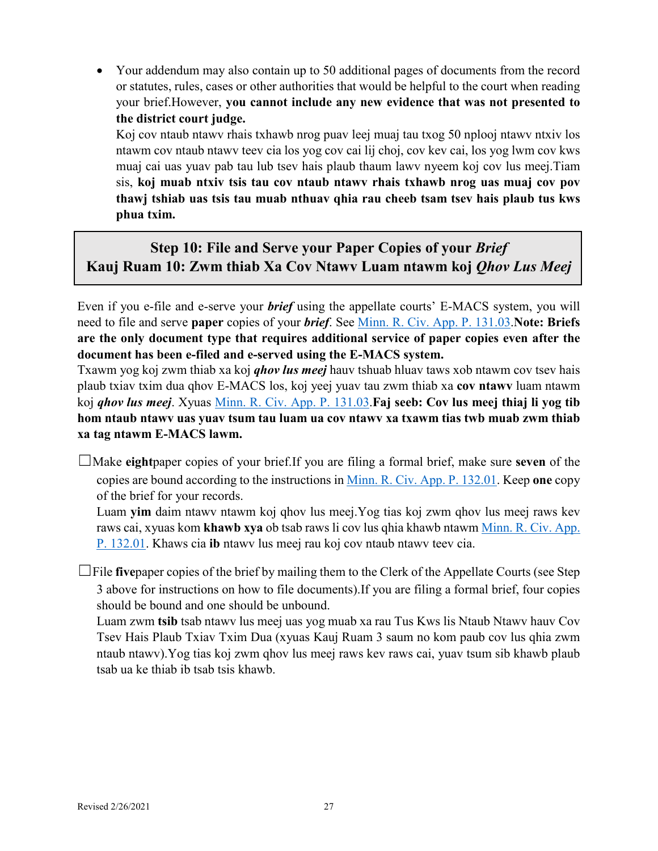• Your addendum may also contain up to 50 additional pages of documents from the record or statutes, rules, cases or other authorities that would be helpful to the court when reading your brief.However, **you cannot include any new evidence that was not presented to the district court judge.**

Koj cov ntaub ntawv rhais txhawb nrog puav leej muaj tau txog 50 nplooj ntawv ntxiv los ntawm cov ntaub ntawv teev cia los yog cov cai lij choj, cov kev cai, los yog lwm cov kws muaj cai uas yuav pab tau lub tsev hais plaub thaum lawv nyeem koj cov lus meej.Tiam sis, **koj muab ntxiv tsis tau cov ntaub ntawv rhais txhawb nrog uas muaj cov pov thawj tshiab uas tsis tau muab nthuav qhia rau cheeb tsam tsev hais plaub tus kws phua txim.**

**Step 10: File and Serve your Paper Copies of your** *Brief* **Kauj Ruam 10: Zwm thiab Xa Cov Ntawv Luam ntawm koj** *Qhov Lus Meej*

Even if you e-file and e-serve your *brief* using the appellate courts' E-MACS system, you will need to file and serve **paper** copies of your *brief*. See [Minn. R. Civ. App. P. 131.03.](https://www.revisor.mn.gov/court_rules/ap/subtype/rcap/id/131/#131.03)**Note: Briefs are the only document type that requires additional service of paper copies even after the document has been e-filed and e-served using the E-MACS system.**

Txawm yog koj zwm thiab xa koj *qhov lus meej* hauv tshuab hluav taws xob ntawm cov tsev hais plaub txiav txim dua qhov E-MACS los, koj yeej yuav tau zwm thiab xa **cov ntawv** luam ntawm koj *qhov lus meej*. Xyuas [Minn. R. Civ. App. P. 131.03.](https://www.revisor.mn.gov/court_rules/ap/subtype/rcap/id/131/#131.03)**Faj seeb: Cov lus meej thiaj li yog tib hom ntaub ntawv uas yuav tsum tau luam ua cov ntawv xa txawm tias twb muab zwm thiab xa tag ntawm E-MACS lawm.**

☐Make **eight**paper copies of your brief.If you are filing a formal brief, make sure **seven** of the copies are bound according to the instructions in Minn. [R. Civ. App. P. 132.01.](https://www.revisor.mn.gov/court_rules/ap/subtype/rcap/id/132/#132.01) Keep **one** copy of the brief for your records.

Luam **yim** daim ntawv ntawm koj qhov lus meej.Yog tias koj zwm qhov lus meej raws kev raws cai, xyuas kom **khawb xya** ob tsab raws li cov lus qhia khawb ntawm [Minn. R. Civ. App.](https://www.revisor.mn.gov/court_rules/ap/subtype/rcap/id/132/#132.01)  [P. 132.01.](https://www.revisor.mn.gov/court_rules/ap/subtype/rcap/id/132/#132.01) Khaws cia **ib** ntawv lus meej rau koj cov ntaub ntawv teev cia.

☐File **five**paper copies of the brief by mailing them to the Clerk of the Appellate Courts (see Step 3 above for instructions on how to file documents).If you are filing a formal brief, four copies should be bound and one should be unbound.

Luam zwm **tsib** tsab ntawv lus meej uas yog muab xa rau Tus Kws lis Ntaub Ntawv hauv Cov Tsev Hais Plaub Txiav Txim Dua (xyuas Kauj Ruam 3 saum no kom paub cov lus qhia zwm ntaub ntawv).Yog tias koj zwm qhov lus meej raws kev raws cai, yuav tsum sib khawb plaub tsab ua ke thiab ib tsab tsis khawb.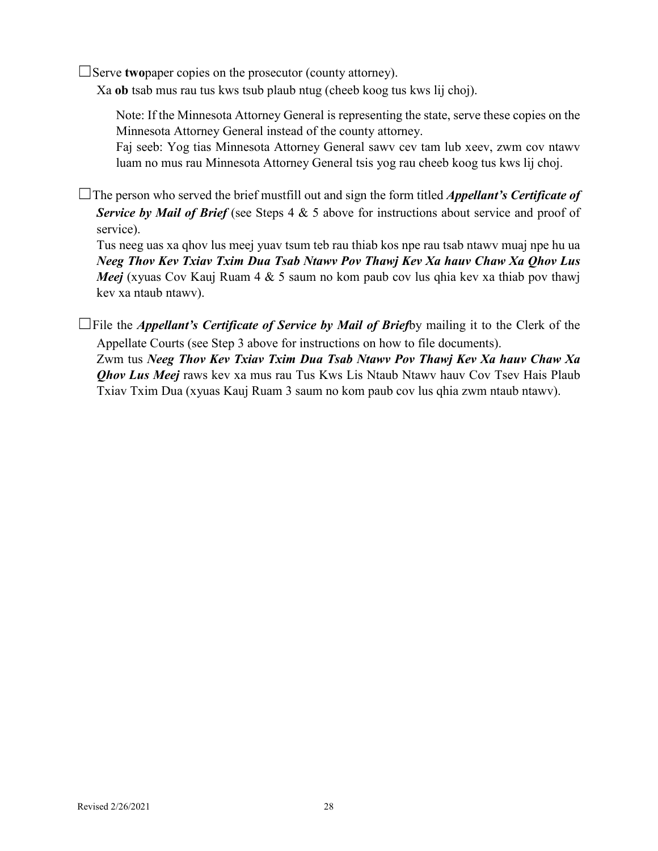☐Serve **two**paper copies on the prosecutor (county attorney).

Xa **ob** tsab mus rau tus kws tsub plaub ntug (cheeb koog tus kws lij choj).

Note: If the Minnesota Attorney General is representing the state, serve these copies on the Minnesota Attorney General instead of the county attorney.

Faj seeb: Yog tias Minnesota Attorney General sawv cev tam lub xeev, zwm cov ntawv luam no mus rau Minnesota Attorney General tsis yog rau cheeb koog tus kws lij choj.

☐The person who served the brief mustfill out and sign the form titled *Appellant's Certificate of*  **Service by Mail of Brief** (see Steps 4 & 5 above for instructions about service and proof of service).

Tus neeg uas xa qhov lus meej yuav tsum teb rau thiab kos npe rau tsab ntawv muaj npe hu ua *Neeg Thov Kev Txiav Txim Dua Tsab Ntawv Pov Thawj Kev Xa hauv Chaw Xa Qhov Lus Meej* (xyuas Cov Kauj Ruam 4 & 5 saum no kom paub cov lus qhia kev xa thiab pov thawj kev xa ntaub ntawv).

☐File the *Appellant's Certificate of Service by Mail of Brief*by mailing it to the Clerk of the Appellate Courts (see Step 3 above for instructions on how to file documents). Zwm tus *Neeg Thov Kev Txiav Txim Dua Tsab Ntawv Pov Thawj Kev Xa hauv Chaw Xa* 

*Qhov Lus Meej* raws kev xa mus rau Tus Kws Lis Ntaub Ntawv hauv Cov Tsev Hais Plaub Txiav Txim Dua (xyuas Kauj Ruam 3 saum no kom paub cov lus qhia zwm ntaub ntawv).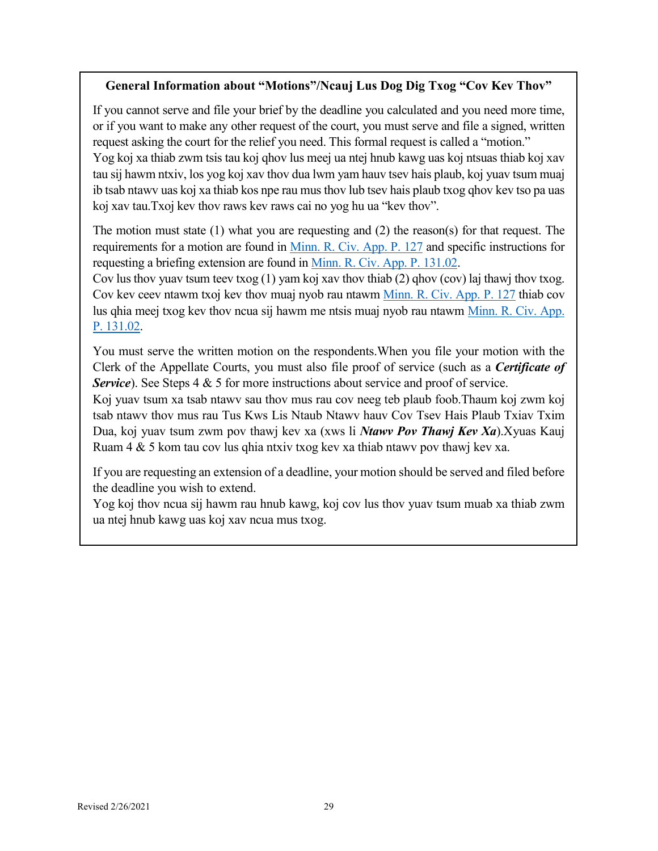#### **General Information about "Motions"/Ncauj Lus Dog Dig Txog "Cov Kev Thov"**

If you cannot serve and file your brief by the deadline you calculated and you need more time, or if you want to make any other request of the court, you must serve and file a signed, written request asking the court for the relief you need. This formal request is called a "motion." Yog koj xa thiab zwm tsis tau koj qhov lus meej ua ntej hnub kawg uas koj ntsuas thiab koj xav tau sij hawm ntxiv, los yog koj xav thov dua lwm yam hauv tsev hais plaub, koj yuav tsum muaj ib tsab ntawv uas koj xa thiab kos npe rau mus thov lub tsev hais plaub txog qhov kev tso pa uas koj xav tau.Txoj kev thov raws kev raws cai no yog hu ua "kev thov".

The motion must state (1) what you are requesting and (2) the reason(s) for that request. The requirements for a motion are found in [Minn. R. Civ. App. P. 127](https://www.revisor.mn.gov/court_rules/ap/subtype/rcap/id/127/) and specific instructions for requesting a briefing extension are found i[n Minn. R. Civ. App. P. 131.02.](https://www.revisor.mn.gov/court_rules/ap/subtype/rcap/id/131/#131.02)

Cov lus thov yuav tsum teev txog  $(1)$  yam koj xav thov thiab  $(2)$  qhov  $(cov)$  laj thawj thov txog. Cov kev ceev ntawm txoj kev thov muaj nyob rau ntawm [Minn. R. Civ. App. P. 127](https://www.revisor.mn.gov/court_rules/ap/subtype/rcap/id/127/) thiab cov lus qhia meej txog kev thov ncua sij hawm me ntsis muaj nyob rau ntawm [Minn. R. Civ. App.](https://www.revisor.mn.gov/court_rules/ap/subtype/rcap/id/131/#131.02)  [P. 131.02.](https://www.revisor.mn.gov/court_rules/ap/subtype/rcap/id/131/#131.02)

You must serve the written motion on the respondents.When you file your motion with the Clerk of the Appellate Courts, you must also file proof of service (such as a *Certificate of Service*). See Steps 4 & 5 for more instructions about service and proof of service.

Koj yuav tsum xa tsab ntawv sau thov mus rau cov neeg teb plaub foob.Thaum koj zwm koj tsab ntawv thov mus rau Tus Kws Lis Ntaub Ntawv hauv Cov Tsev Hais Plaub Txiav Txim Dua, koj yuav tsum zwm pov thawj kev xa (xws li *Ntawv Pov Thawj Kev Xa*).Xyuas Kauj Ruam 4 & 5 kom tau cov lus qhia ntxiv txog kev xa thiab ntawv pov thawj kev xa.

If you are requesting an extension of a deadline, your motion should be served and filed before the deadline you wish to extend.

Yog koj thov ncua sij hawm rau hnub kawg, koj cov lus thov yuav tsum muab xa thiab zwm ua ntej hnub kawg uas koj xav ncua mus txog.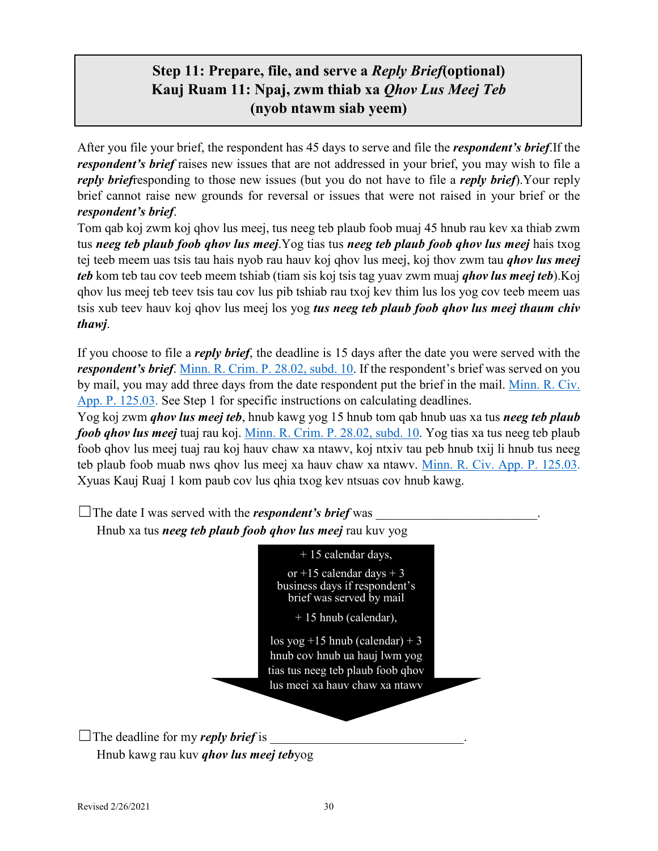## **Step 11: Prepare, file, and serve a** *Reply Brief***(optional) Kauj Ruam 11: Npaj, zwm thiab xa** *Qhov Lus Meej Teb* **(nyob ntawm siab yeem)**

After you file your brief, the respondent has 45 days to serve and file the *respondent's brief*.If the *respondent's brief* raises new issues that are not addressed in your brief, you may wish to file a *reply brief*responding to those new issues (but you do not have to file a *reply brief*).Your reply brief cannot raise new grounds for reversal or issues that were not raised in your brief or the *respondent's brief*.

Tom qab koj zwm koj qhov lus meej, tus neeg teb plaub foob muaj 45 hnub rau kev xa thiab zwm tus *neeg teb plaub foob qhov lus meej*.Yog tias tus *neeg teb plaub foob qhov lus meej* hais txog tej teeb meem uas tsis tau hais nyob rau hauv koj qhov lus meej, koj thov zwm tau *qhov lus meej teb* kom teb tau cov teeb meem tshiab (tiam sis koj tsis tag yuav zwm muaj *qhov lus meej teb*).Koj qhov lus meej teb teev tsis tau cov lus pib tshiab rau txoj kev thim lus los yog cov teeb meem uas tsis xub teev hauv koj qhov lus meej los yog *tus neeg teb plaub foob qhov lus meej thaum chiv thawj*.

If you choose to file a *reply brief*, the deadline is 15 days after the date you were served with the *respondent's brief*. [Minn. R. Crim. P. 28.02, subd.](https://www.revisor.mn.gov/court_rules/cr/id/28/#28.02) 10. If the respondent's brief was served on you by mail, you may add three days from the date respondent put the brief in the mail. [Minn. R. Civ.](https://www.revisor.mn.gov/court_rules/ap/subtype/rcap/id/125/)  [App. P. 125.03.](https://www.revisor.mn.gov/court_rules/ap/subtype/rcap/id/125/) See Step 1 for specific instructions on calculating deadlines.

Yog koj zwm *qhov lus meej teb*, hnub kawg yog 15 hnub tom qab hnub uas xa tus *neeg teb plaub foob qhov lus meej* tuaj rau koj. [Minn. R. Crim. P. 28.02, subd.](https://www.revisor.mn.gov/court_rules/cr/id/28/#28.02) 10. Yog tias xa tus neeg teb plaub foob qhov lus meej tuaj rau koj hauv chaw xa ntawv, koj ntxiv tau peb hnub txij li hnub tus neeg teb plaub foob muab nws qhov lus meej xa hauv chaw xa ntawv. [Minn. R. Civ. App. P. 125.03.](https://www.revisor.mn.gov/court_rules/ap/subtype/rcap/id/125/) Xyuas Kauj Ruaj 1 kom paub cov lus qhia txog kev ntsuas cov hnub kawg.

 $\Box$  The date I was served with the *respondent's brief* was Hnub xa tus *neeg teb plaub foob qhov lus meej* rau kuv yog + 15 calendar days, or  $+15$  calendar days  $+3$ business days if respondent's brief was served by mail + 15 hnub (calendar), los yog  $+15$  hnub (calendar)  $+3$ hnub cov hnub ua hauj lwm yog tias tus neeg teb plaub foob qhov lus meej xa hauv chaw xa ntawv

 $\Box$  The deadline for my *reply brief* is Hnub kawg rau kuv *qhov lus meej teb*yog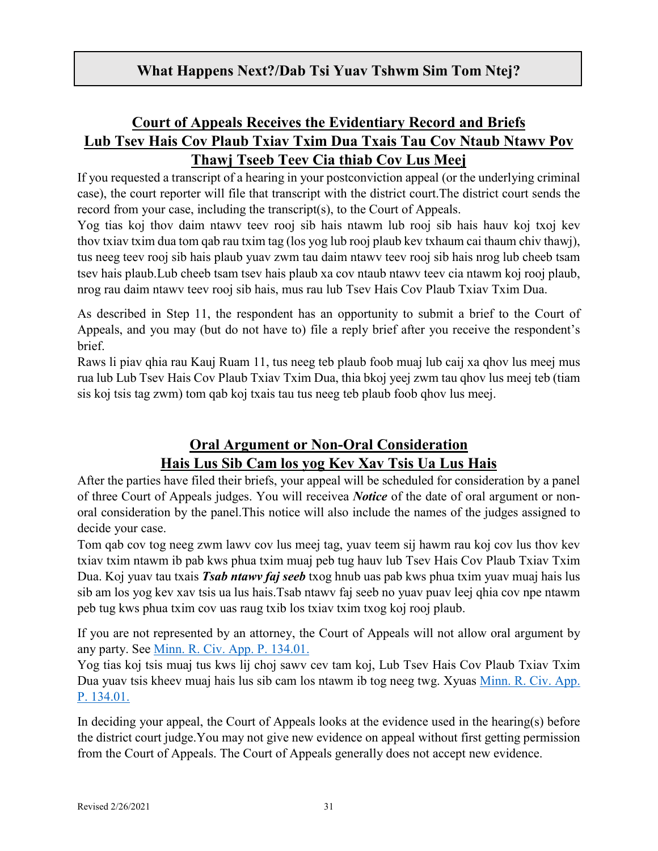**What Happens Next?/Dab Tsi Yuav Tshwm Sim Tom Ntej?**

## **Court of Appeals Receives the Evidentiary Record and Briefs Lub Tsev Hais Cov Plaub Txiav Txim Dua Txais Tau Cov Ntaub Ntawv Pov Thawj Tseeb Teev Cia thiab Cov Lus Meej**

If you requested a transcript of a hearing in your postconviction appeal (or the underlying criminal case), the court reporter will file that transcript with the district court.The district court sends the record from your case, including the transcript(s), to the Court of Appeals.

Yog tias koj thov daim ntawv teev rooj sib hais ntawm lub rooj sib hais hauv koj txoj kev thov txiav txim dua tom qab rau txim tag (los yog lub rooj plaub kev txhaum cai thaum chiv thawj), tus neeg teev rooj sib hais plaub yuav zwm tau daim ntawv teev rooj sib hais nrog lub cheeb tsam tsev hais plaub.Lub cheeb tsam tsev hais plaub xa cov ntaub ntawv teev cia ntawm koj rooj plaub, nrog rau daim ntawv teev rooj sib hais, mus rau lub Tsev Hais Cov Plaub Txiav Txim Dua.

As described in Step 11, the respondent has an opportunity to submit a brief to the Court of Appeals, and you may (but do not have to) file a reply brief after you receive the respondent's brief.

Raws li piav qhia rau Kauj Ruam 11, tus neeg teb plaub foob muaj lub caij xa qhov lus meej mus rua lub Lub Tsev Hais Cov Plaub Txiav Txim Dua, thia bkoj yeej zwm tau qhov lus meej teb (tiam sis koj tsis tag zwm) tom qab koj txais tau tus neeg teb plaub foob qhov lus meej.

## **Oral Argument or Non-Oral Consideration Hais Lus Sib Cam los yog Kev Xav Tsis Ua Lus Hais**

After the parties have filed their briefs, your appeal will be scheduled for consideration by a panel of three Court of Appeals judges. You will receivea *Notice* of the date of oral argument or nonoral consideration by the panel.This notice will also include the names of the judges assigned to decide your case.

Tom qab cov tog neeg zwm lawv cov lus meej tag, yuav teem sij hawm rau koj cov lus thov kev txiav txim ntawm ib pab kws phua txim muaj peb tug hauv lub Tsev Hais Cov Plaub Txiav Txim Dua. Koj yuav tau txais *Tsab ntawv faj seeb* txog hnub uas pab kws phua txim yuav muaj hais lus sib am los yog kev xav tsis ua lus hais.Tsab ntawv faj seeb no yuav puav leej qhia cov npe ntawm peb tug kws phua txim cov uas raug txib los txiav txim txog koj rooj plaub.

If you are not represented by an attorney, the Court of Appeals will not allow oral argument by any party. See [Minn. R. Civ. App. P. 134.01.](https://www.revisor.mn.gov/court_rules/ap/subtype/rcap/id/134/)

Yog tias koj tsis muaj tus kws lij choj sawv cev tam koj, Lub Tsev Hais Cov Plaub Txiav Txim Dua yuav tsis kheev muaj hais lus sib cam los ntawm ib tog neeg twg. Xyuas [Minn. R. Civ. App.](https://www.revisor.mn.gov/court_rules/ap/subtype/rcap/id/134/)  [P. 134.01.](https://www.revisor.mn.gov/court_rules/ap/subtype/rcap/id/134/)

In deciding your appeal, the Court of Appeals looks at the evidence used in the hearing(s) before the district court judge.You may not give new evidence on appeal without first getting permission from the Court of Appeals. The Court of Appeals generally does not accept new evidence.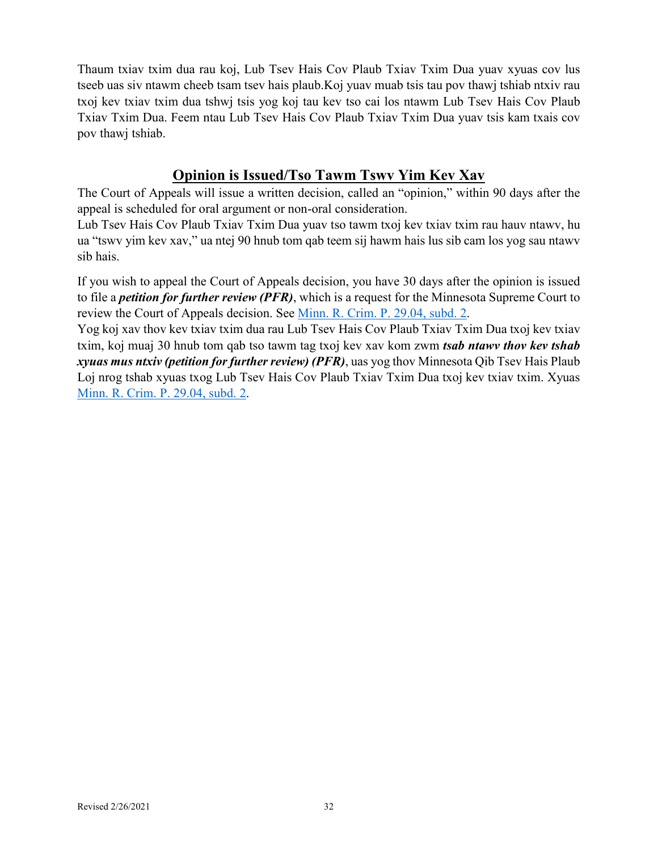Thaum txiav txim dua rau koj, Lub Tsev Hais Cov Plaub Txiav Txim Dua yuav xyuas cov lus tseeb uas siv ntawm cheeb tsam tsev hais plaub.Koj yuav muab tsis tau pov thawj tshiab ntxiv rau txoj kev txiav txim dua tshwj tsis yog koj tau kev tso cai los ntawm Lub Tsev Hais Cov Plaub Txiav Txim Dua. Feem ntau Lub Tsev Hais Cov Plaub Txiav Txim Dua yuav tsis kam txais cov pov thawj tshiab.

## **Opinion is Issued/Tso Tawm Tswv Yim Kev Xav**

The Court of Appeals will issue a written decision, called an "opinion," within 90 days after the appeal is scheduled for oral argument or non-oral consideration.

Lub Tsev Hais Cov Plaub Txiav Txim Dua yuav tso tawm txoj kev txiav txim rau hauv ntawv, hu ua "tswv yim kev xav," ua ntej 90 hnub tom qab teem sij hawm hais lus sib cam los yog sau ntawv sib hais.

If you wish to appeal the Court of Appeals decision, you have 30 days after the opinion is issued to file a *petition for further review (PFR)*, which is a request for the Minnesota Supreme Court to review the Court of Appeals decision. See [Minn. R. Crim. P. 29.04, subd. 2.](https://www.revisor.mn.gov/court_rules/cr/id/29/#29.04)

Yog koj xav thov kev txiav txim dua rau Lub Tsev Hais Cov Plaub Txiav Txim Dua txoj kev txiav txim, koj muaj 30 hnub tom qab tso tawm tag txoj kev xav kom zwm *tsab ntawv thov kev tshab xyuas mus ntxiv (petition for further review) (PFR)*, uas yog thov Minnesota Qib Tsev Hais Plaub Loj nrog tshab xyuas txog Lub Tsev Hais Cov Plaub Txiav Txim Dua txoj kev txiav txim. Xyuas [Minn. R. Crim. P. 29.04, subd. 2.](https://www.revisor.mn.gov/court_rules/cr/id/29/#29.04)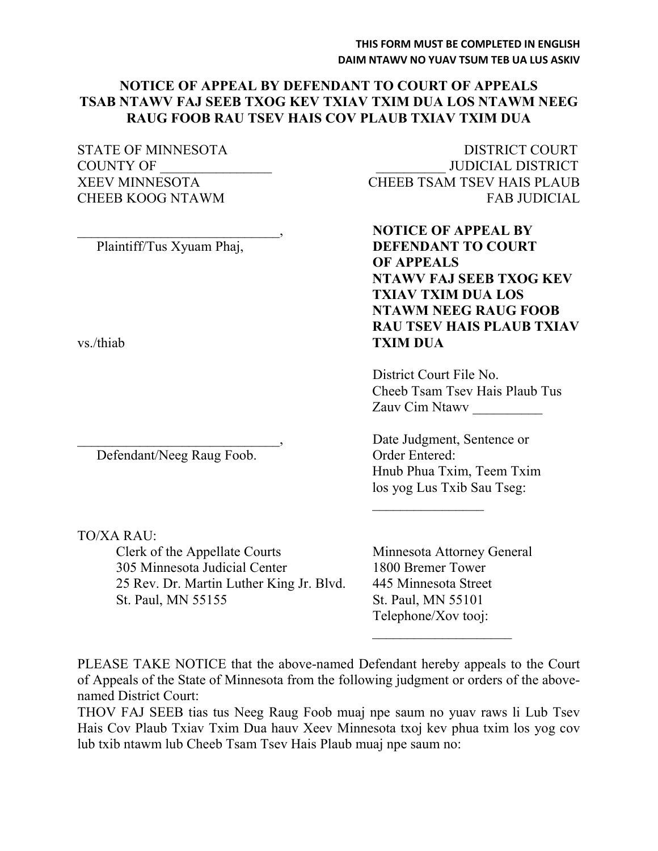#### **NOTICE OF APPEAL BY DEFENDANT TO COURT OF APPEALS TSAB NTAWV FAJ SEEB TXOG KEV TXIAV TXIM DUA LOS NTAWM NEEG RAUG FOOB RAU TSEV HAIS COV PLAUB TXIAV TXIM DUA**

Defendant/Neeg Raug Foob. Order Entered:

TO/XA RAU:

Clerk of the Appellate Courts Minnesota Attorney General 305 Minnesota Judicial Center 1800 Bremer Tower 25 Rev. Dr. Martin Luther King Jr. Blvd. 445 Minnesota Street St. Paul, MN 55155 St. Paul, MN 55101

STATE OF MINNESOTA DISTRICT COURT COUNTY OF \_\_\_\_\_\_\_\_\_\_\_\_\_\_\_\_ \_\_\_\_\_\_\_\_\_\_ JUDICIAL DISTRICT XEEV MINNESOTA CHEEB TSAM TSEV HAIS PLAUB CHEEB KOOG NTAWM FAB JUDICIAL

\_\_\_\_\_\_\_\_\_\_\_\_\_\_\_\_\_\_\_\_\_\_\_\_\_\_\_\_\_, **NOTICE OF APPEAL BY** Plaintiff/Tus Xyuam Phaj, **DEFENDANT TO COURT OF APPEALS NTAWV FAJ SEEB TXOG KEV TXIAV TXIM DUA LOS NTAWM NEEG RAUG FOOB RAU TSEV HAIS PLAUB TXIAV**  vs./thiab **TXIM DUA**

> District Court File No. Cheeb Tsam Tsev Hais Plaub Tus Zauv Cim Ntawv \_\_\_\_\_\_\_\_\_\_

Date Judgment, Sentence or Hnub Phua Txim, Teem Txim los yog Lus Txib Sau Tseg:

 $\frac{1}{2}$ 

Telephone/Xov tooj:

 $\overline{\phantom{a}}$  , where  $\overline{\phantom{a}}$  , where  $\overline{\phantom{a}}$  , where  $\overline{\phantom{a}}$ 

PLEASE TAKE NOTICE that the above-named Defendant hereby appeals to the Court of Appeals of the State of Minnesota from the following judgment or orders of the abovenamed District Court:

THOV FAJ SEEB tias tus Neeg Raug Foob muaj npe saum no yuav raws li Lub Tsev Hais Cov Plaub Txiav Txim Dua hauv Xeev Minnesota txoj kev phua txim los yog cov lub txib ntawm lub Cheeb Tsam Tsev Hais Plaub muaj npe saum no: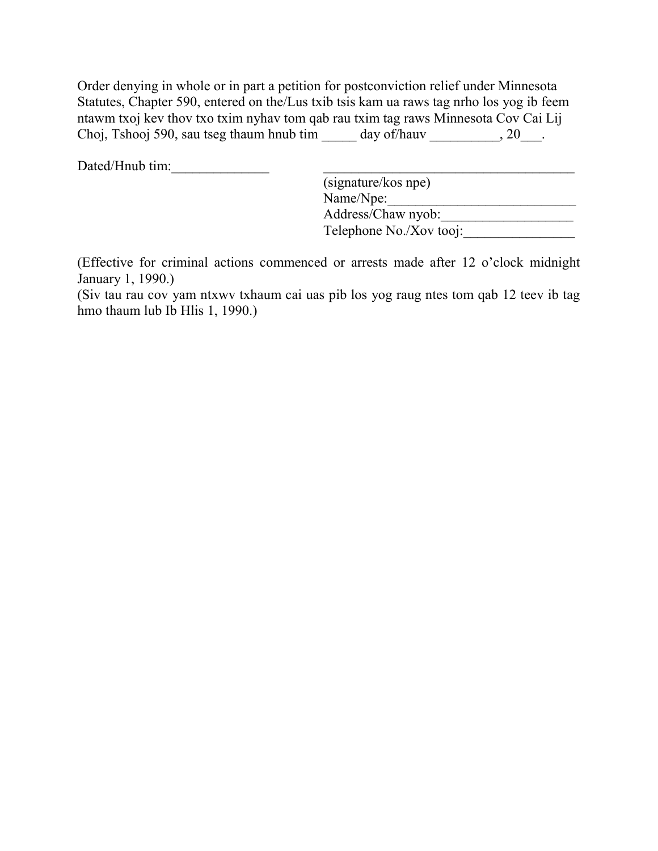Order denying in whole or in part a petition for postconviction relief under Minnesota Statutes, Chapter 590, entered on the/Lus txib tsis kam ua raws tag nrho los yog ib feem ntawm txoj kev thov txo txim nyhav tom qab rau txim tag raws Minnesota Cov Cai Lij Choj, Tshooj 590, sau tseg thaum hnub tim \_\_\_\_\_ day of/hauv \_\_\_\_\_\_\_\_\_, 20\_\_\_.

Dated/Hnub tim:\_\_\_\_\_\_\_\_\_\_\_\_\_\_ \_\_\_\_\_\_\_\_\_\_\_\_\_\_\_\_\_\_\_\_\_\_\_\_\_\_\_\_\_\_\_\_\_\_\_\_

(signature/kos npe) Name/Npe:\_\_\_\_\_\_\_\_\_\_\_\_\_\_\_\_\_\_\_\_\_\_\_\_\_\_\_ Address/Chaw nyob:\_\_\_\_\_\_\_\_\_\_\_\_\_\_\_\_\_\_\_ Telephone No./Xov tooj:\_\_\_\_\_\_\_\_\_\_\_\_\_\_\_\_

(Effective for criminal actions commenced or arrests made after 12 o'clock midnight January 1, 1990.)

(Siv tau rau cov yam ntxwv txhaum cai uas pib los yog raug ntes tom qab 12 teev ib tag hmo thaum lub Ib Hlis 1, 1990.)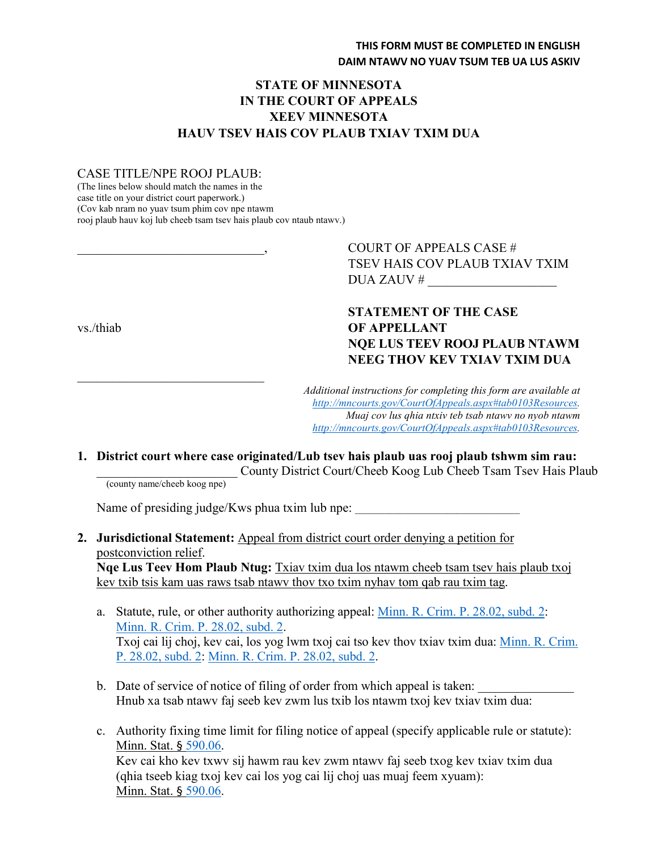#### **STATE OF MINNESOTA IN THE COURT OF APPEALS XEEV MINNESOTA HAUV TSEV HAIS COV PLAUB TXIAV TXIM DUA**

#### CASE TITLE/NPE ROOJ PLAUB:

(The lines below should match the names in the case title on your district court paperwork.) (Cov kab nram no yuav tsum phim cov npe ntawm rooj plaub hauv koj lub cheeb tsam tsev hais plaub cov ntaub ntawv.)

> COURT OF APPEALS CASE # TSEV HAIS COV PLAUB TXIAV TXIM DUA ZAUV # \_\_\_\_\_\_\_\_\_\_\_\_\_\_\_\_\_\_\_\_

#### **STATEMENT OF THE CASE**  vs./thiab **OF APPELLANT NQE LUS TEEV ROOJ PLAUB NTAWM NEEG THOV KEV TXIAV TXIM DUA**

*Additional instructions for completing this form are available at [http://mncourts.gov/CourtOfAppeals.aspx#tab0103Resources.](http://mncourts.gov/CourtOfAppeals.aspx#tab0103Resources.%0BMuaj%20cov%20lus%20qhia%20ntxiv%20teb%20tsab%20ntawv%20no%20nyob%20ntawm%20http://mncourts.gov/CourtOfAppeals.aspx#tab0103Resources.%0D%0D) [Muaj cov lus qhia ntxiv teb tsab ntawv no nyob ntawm](http://mncourts.gov/CourtOfAppeals.aspx#tab0103Resources.%0BMuaj%20cov%20lus%20qhia%20ntxiv%20teb%20tsab%20ntawv%20no%20nyob%20ntawm%20http://mncourts.gov/CourtOfAppeals.aspx#tab0103Resources.%0D%0D)  [http://mncourts.gov/CourtOfAppeals.aspx#tab0103Resources.](http://mncourts.gov/CourtOfAppeals.aspx#tab0103Resources.%0BMuaj%20cov%20lus%20qhia%20ntxiv%20teb%20tsab%20ntawv%20no%20nyob%20ntawm%20http://mncourts.gov/CourtOfAppeals.aspx#tab0103Resources.%0D%0D)*

**1. District court where case originated/Lub tsev hais plaub uas rooj plaub tshwm sim rau:** \_\_\_\_\_\_\_\_\_\_\_\_\_\_\_\_\_\_\_\_\_\_ County District Court/Cheeb Koog Lub Cheeb Tsam Tsev Hais Plaub (county name/cheeb koog npe)

Name of presiding judge/Kws phua txim lub npe:

**2. Jurisdictional Statement:** Appeal from district court order denying a petition for postconviction relief.

**Nqe Lus Teev Hom Plaub Ntug:** Txiav txim dua los ntawm cheeb tsam tsev hais plaub txoj kev txib tsis kam uas raws tsab ntawy thov txo txim nyhav tom qab rau txim tag.

- a. Statute, rule, or other authority authorizing appeal: [Minn. R. Crim. P. 28.02, subd. 2:](https://www.revisor.mn.gov/court_rules/cr/id/28/#28.02) [Minn. R. Crim. P. 28.02, subd. 2.](https://www.revisor.mn.gov/court_rules/cr/id/28/#28.02) Txoj cai lij choj, kev cai, los yog lwm txoj cai tso kev thov txiav txim dua: [Minn. R. Crim.](https://www.revisor.mn.gov/court_rules/cr/id/28/#28.02)  [P. 28.02, subd. 2:](https://www.revisor.mn.gov/court_rules/cr/id/28/#28.02) [Minn. R. Crim. P. 28.02, subd. 2.](https://www.revisor.mn.gov/court_rules/cr/id/28/#28.02)
- b. Date of service of notice of filing of order from which appeal is taken: Hnub xa tsab ntawv faj seeb kev zwm lus txib los ntawm txoj kev txiav txim dua:
- c. Authority fixing time limit for filing notice of appeal (specify applicable rule or statute): Minn. Stat. § [590.06.](https://www.revisor.mn.gov/statutes?id=590.06&year=2018&keyword_type=all&keyword=590.06) Kev cai kho kev txwv sij hawm rau kev zwm ntawv faj seeb txog kev txiav txim dua (qhia tseeb kiag txoj kev cai los yog cai lij choj uas muaj feem xyuam): Minn. Stat. § [590.06.](https://www.revisor.mn.gov/statutes?id=590.06&year=2018&keyword_type=all&keyword=590.06)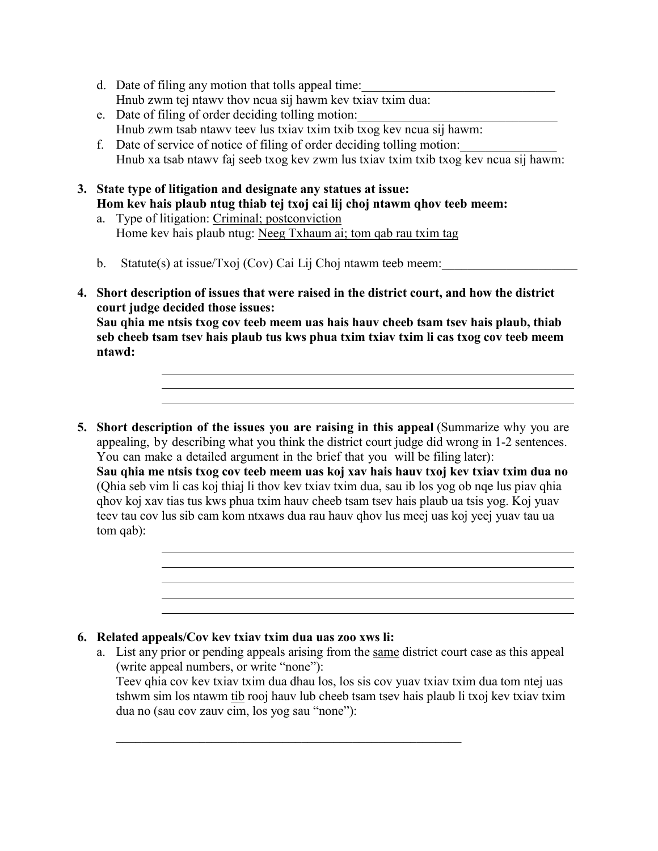- d. Date of filing any motion that tolls appeal time: Hnub zwm tej ntawv thov ncua sij hawm kev txiav txim dua:
- e. Date of filing of order deciding tolling motion: Hnub zwm tsab ntawv teev lus txiav txim txib txog kev ncua sij hawm:
- f. Date of service of notice of filing of order deciding tolling motion: Hnub xa tsab ntawv faj seeb txog kev zwm lus txiav txim txib txog kev ncua sij hawm:
- **3. State type of litigation and designate any statues at issue: Hom kev hais plaub ntug thiab tej txoj cai lij choj ntawm qhov teeb meem:**
	- a. Type of litigation: Criminal; postconviction Home kev hais plaub ntug: Neeg Txhaum ai; tom qab rau txim tag
	- b. Statute(s) at issue/Txoj (Cov) Cai Lij Choj ntawm teeb meem:
- **4. Short description of issues that were raised in the district court, and how the district court judge decided those issues:**

**Sau qhia me ntsis txog cov teeb meem uas hais hauv cheeb tsam tsev hais plaub, thiab seb cheeb tsam tsev hais plaub tus kws phua txim txiav txim li cas txog cov teeb meem ntawd:**

**5. Short description of the issues you are raising in this appeal** (Summarize why you are appealing, by describing what you think the district court judge did wrong in 1-2 sentences. You can make a detailed argument in the brief that you will be filing later): **Sau qhia me ntsis txog cov teeb meem uas koj xav hais hauv txoj kev txiav txim dua no** (Qhia seb vim li cas koj thiaj li thov kev txiav txim dua, sau ib los yog ob nqe lus piav qhia qhov koj xav tias tus kws phua txim hauv cheeb tsam tsev hais plaub ua tsis yog. Koj yuav teev tau cov lus sib cam kom ntxaws dua rau hauv qhov lus meej uas koj yeej yuav tau ua tom qab):

#### **6. Related appeals/Cov kev txiav txim dua uas zoo xws li:**

a. List any prior or pending appeals arising from the same district court case as this appeal (write appeal numbers, or write "none"):

\_\_\_\_\_\_\_\_\_\_\_\_\_\_\_\_\_\_\_\_\_\_\_\_\_\_\_\_\_\_\_\_\_\_\_\_\_\_\_\_\_\_\_\_\_\_\_\_\_\_\_\_\_\_

Teev qhia cov kev txiav txim dua dhau los, los sis cov yuav txiav txim dua tom ntej uas tshwm sim los ntawm tib rooj hauv lub cheeb tsam tsev hais plaub li txoj kev txiav txim dua no (sau cov zauv cim, los yog sau "none"):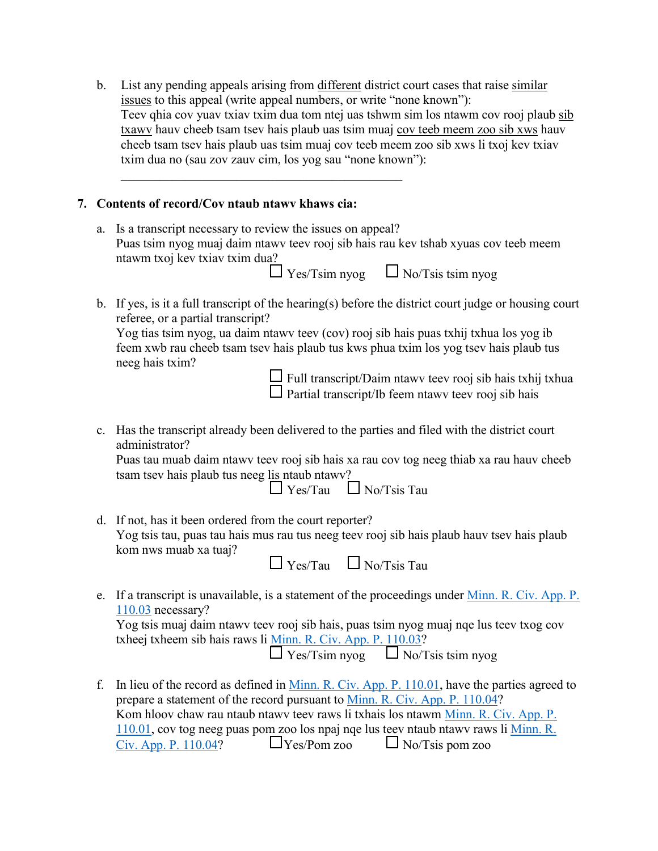b. List any pending appeals arising from different district court cases that raise similar issues to this appeal (write appeal numbers, or write "none known"): Teev qhia cov yuav txiav txim dua tom ntej uas tshwm sim los ntawm cov rooj plaub sib txawv hauv cheeb tsam tsev hais plaub uas tsim muaj cov teeb meem zoo sib xws hauv cheeb tsam tsev hais plaub uas tsim muaj cov teeb meem zoo sib xws li txoj kev txiav txim dua no (sau zov zauv cim, los yog sau "none known"):

#### **7. Contents of record/Cov ntaub ntawv khaws cia:**

 $\mathcal{L}_\text{max}$  and  $\mathcal{L}_\text{max}$  and  $\mathcal{L}_\text{max}$  and  $\mathcal{L}_\text{max}$  and  $\mathcal{L}_\text{max}$ 

- a. Is a transcript necessary to review the issues on appeal? Puas tsim nyog muaj daim ntawv teev rooj sib hais rau kev tshab xyuas cov teeb meem ntawm txoj kev txiav txim dua?
	-

 $\Box$  Yes/Tsim nyog  $\Box$  No/Tsis tsim nyog

b. If yes, is it a full transcript of the hearing(s) before the district court judge or housing court referee, or a partial transcript?

| Yog tias tsim nyog, ua daim ntawy teev (cov) rooj sib hais puas txhij txhua los yog ib |
|----------------------------------------------------------------------------------------|
| feem xwb rau cheeb tsam tsev hais plaub tus kws phua txim los yog tsev hais plaub tus  |
| neeg hais txim?                                                                        |

 $\Box$  Full transcript/Daim ntawy teev rooj sib hais txhij txhua  $\Box$  Partial transcript/Ib feem ntawy teev rooj sib hais

c. Has the transcript already been delivered to the parties and filed with the district court administrator?

Puas tau muab daim ntawv teev rooj sib hais xa rau cov tog neeg thiab xa rau hauv cheeb tsam tsev hais plaub tus neeg lis ntaub ntawv?

 $\Box$  Yes/Tau  $\Box$  No/Tsis Tau

d. If not, has it been ordered from the court reporter? Yog tsis tau, puas tau hais mus rau tus neeg teev rooj sib hais plaub hauv tsev hais plaub kom nws muab xa tuaj?

 $\Box$  Yes/Tau  $\Box$  No/Tsis Tau

e. If a transcript is unavailable, is a statement of the proceedings under [Minn. R. Civ. App. P.](https://www.revisor.mn.gov/court_rules/ap/subtype/rcap/id/110/#110.03) [110.03](https://www.revisor.mn.gov/court_rules/ap/subtype/rcap/id/110/#110.03) necessary?

```
Yog tsis muaj daim ntawv teev rooj sib hais, puas tsim nyog muaj nqe lus teev txog cov 
txheej txheem sib hais raws li Minn. R. Civ. App. P. 110.03? 
                             \Box Yes/Tsim nyog \Box No/Tsis tsim nyog
```
f. In lieu of the record as defined in [Minn. R. Civ. App. P.](https://www.revisor.mn.gov/court_rules/ap/subtype/rcap/id/110/#110.01) 110.01, have the parties agreed to prepare a statement of the record pursuant to [Minn. R. Civ. App. P. 110.04?](https://www.revisor.mn.gov/court_rules/ap/subtype/rcap/id/110/#110.04) Kom hloov chaw rau ntaub ntawy teev raws li txhais los ntawm Minn. R. Civ. App. P. [110.01,](https://www.revisor.mn.gov/court_rules/ap/subtype/rcap/id/110/#110.01) cov tog neeg puas pom zoo los npaj nqe lus teev ntaub ntawv raws li [Minn. R.](https://www.revisor.mn.gov/court_rules/ap/subtype/rcap/id/110/#110.04)  [Civ. App. P. 110.04?](https://www.revisor.mn.gov/court_rules/ap/subtype/rcap/id/110/#110.04)  $\Box$  Yes/Pom zoo  $\Box$  No/Tsis pom zoo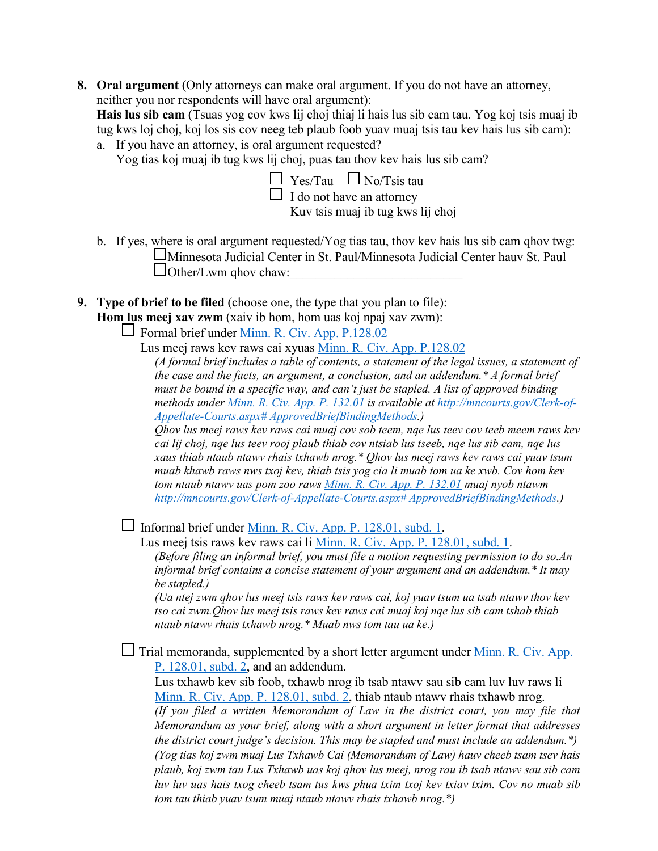**8. Oral argument** (Only attorneys can make oral argument. If you do not have an attorney, neither you nor respondents will have oral argument):

**Hais lus sib cam** (Tsuas yog cov kws lij choj thiaj li hais lus sib cam tau. Yog koj tsis muaj ib tug kws loj choj, koj los sis cov neeg teb plaub foob yuav muaj tsis tau kev hais lus sib cam):

a. If you have an attorney, is oral argument requested? Yog tias koj muaj ib tug kws lij choj, puas tau thov kev hais lus sib cam?

| $\Box$ Yes/Tau $\Box$ No/Tsis tau |  |  |  |
|-----------------------------------|--|--|--|
| $\Box$ I do not have an attorney  |  |  |  |
| Kuv tsis muaj ib tug kws lij choj |  |  |  |

- b. If yes, where is oral argument requested/Yog tias tau, thov kev hais lus sib cam qhov twg: Minnesota Judicial Center in St. Paul/Minnesota Judicial Center hauv St. Paul  $\Box$  Other/Lwm ghov chaw:
- **9. Type of brief to be filed** (choose one, the type that you plan to file): **Hom lus meej xav zwm** (xaiv ib hom, hom uas koj npaj xav zwm):

Formal brief under [Minn. R. Civ. App. P.128.02](https://www.revisor.mn.gov/court_rules/ap/subtype/rcap/id/128/#128.02)

Lus meej raws kev raws cai xyuas [Minn. R. Civ. App. P.128.02](https://www.revisor.mn.gov/court_rules/ap/subtype/rcap/id/128/#128.02)

*(A formal brief includes a table of contents, a statement of the legal issues, a statement of the case and the facts, an argument, a conclusion, and an addendum.\* A formal brief must be bound in a specific way, and can't just be stapled. A list of approved binding methods under [Minn. R. Civ. App. P. 132.01](https://www.revisor.mn.gov/court_rules/ap/subtype/rcap/id/132/#132.01) is available at [http://mncourts.gov/Clerk-of-](http://mncourts.gov/Clerk-of-Appellate-Courts.aspx#%20ApprovedBriefBindingMethods)[Appellate-Courts.aspx# ApprovedBriefBindingMethods.](http://mncourts.gov/Clerk-of-Appellate-Courts.aspx#%20ApprovedBriefBindingMethods))*

*Qhov lus meej raws kev raws cai muaj cov sob teem, nqe lus teev cov teeb meem raws kev cai lij choj, nqe lus teev rooj plaub thiab cov ntsiab lus tseeb, nqe lus sib cam, nqe lus xaus thiab ntaub ntawv rhais txhawb nrog.\* Qhov lus meej raws kev raws cai yuav tsum muab khawb raws nws txoj kev, thiab tsis yog cia li muab tom ua ke xwb. Cov hom kev tom ntaub ntawv uas pom zoo raws [Minn. R. Civ. App. P. 132.01](https://www.revisor.mn.gov/court_rules/ap/subtype/rcap/id/132/#132.01) muaj nyob ntawm [http://mncourts.gov/Clerk-of-Appellate-Courts.aspx# ApprovedBriefBindingMethods.](http://mncourts.gov/Clerk-of-Appellate-Courts.aspx#%20ApprovedBriefBindingMethods))*

□ Informal brief under [Minn. R. Civ. App. P. 128.01, subd. 1.](https://www.revisor.mn.gov/court_rules/ap/subtype/rcap/id/128/#128.01)

Lus meej tsis raws kev raws cai li [Minn. R. Civ. App. P.](https://www.revisor.mn.gov/court_rules/ap/subtype/rcap/id/128/#128.01) 128.01, subd. 1.

*(Before filing an informal brief, you must file a motion requesting permission to do so.An informal brief contains a concise statement of your argument and an addendum.\* It may be stapled.)*

*(Ua ntej zwm qhov lus meej tsis raws kev raws cai, koj yuav tsum ua tsab ntawv thov kev tso cai zwm.Qhov lus meej tsis raws kev raws cai muaj koj nqe lus sib cam tshab thiab ntaub ntawv rhais txhawb nrog.\* Muab nws tom tau ua ke.)*

 $\Box$  Trial memoranda, supplemented by a short letter argument under <u>Minn. R. Civ. App.</u> P. [128.01, subd. 2,](https://www.revisor.mn.gov/court_rules/ap/subtype/rcap/id/128/#128.02) and an addendum.

Lus txhawb kev sib foob, txhawb nrog ib tsab ntawv sau sib cam luv luv raws li [Minn. R. Civ. App. P. 128.01, subd. 2,](https://www.revisor.mn.gov/court_rules/ap/subtype/rcap/id/128/#128.02) thiab ntaub ntawv rhais txhawb nrog. *(If you filed a written Memorandum of Law in the district court, you may file that Memorandum as your brief, along with a short argument in letter format that addresses the district court judge's decision. This may be stapled and must include an addendum.\*) (Yog tias koj zwm muaj Lus Txhawb Cai (Memorandum of Law) hauv cheeb tsam tsev hais plaub, koj zwm tau Lus Txhawb uas koj qhov lus meej, nrog rau ib tsab ntawv sau sib cam luv luv uas hais txog cheeb tsam tus kws phua txim txoj kev txiav txim. Cov no muab sib tom tau thiab yuav tsum muaj ntaub ntawv rhais txhawb nrog.\*)*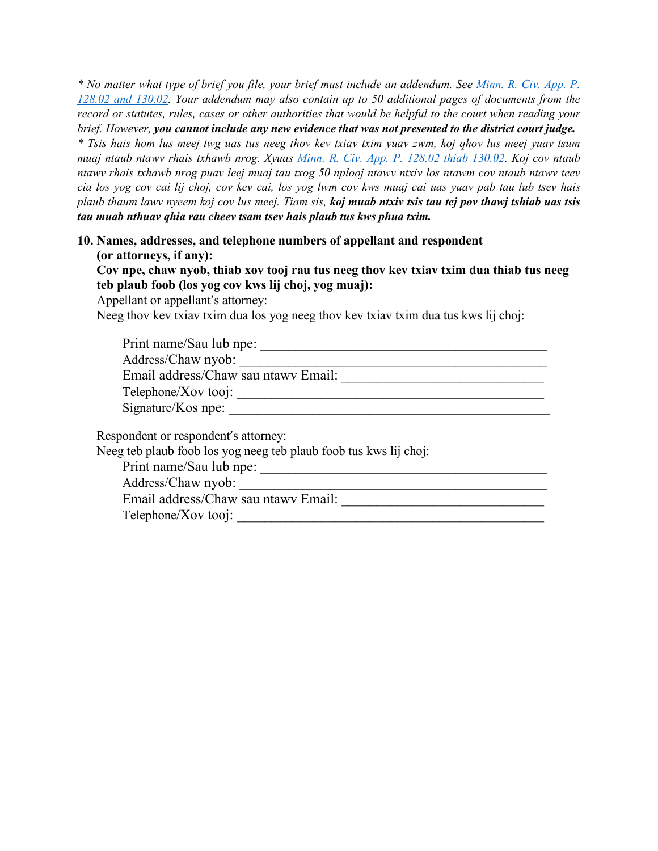*\* No matter what type of brief you file, your brief must include an addendum. See [Minn. R. Civ. App. P.](https://www.revisor.mn.gov/court_rules/ap/subtype/rcap/id/128/#128.02)  [128.02 and 130.02.](https://www.revisor.mn.gov/court_rules/ap/subtype/rcap/id/128/#128.02) Your addendum may also contain up to 50 additional pages of documents from the record or statutes, rules, cases or other authorities that would be helpful to the court when reading your brief. However, you cannot include any new evidence that was not presented to the district court judge.*

*\* Tsis hais hom lus meej twg uas tus neeg thov kev txiav txim yuav zwm, koj qhov lus meej yuav tsum muaj ntaub ntawv rhais txhawb nrog. Xyuas [Minn. R. Civ. App. P. 128.02 thiab 130.02.](https://www.revisor.mn.gov/court_rules/ap/subtype/rcap/id/128/#128.02) Koj cov ntaub ntawv rhais txhawb nrog puav leej muaj tau txog 50 nplooj ntawv ntxiv los ntawm cov ntaub ntawv teev cia los yog cov cai lij choj, cov kev cai, los yog lwm cov kws muaj cai uas yuav pab tau lub tsev hais plaub thaum lawv nyeem koj cov lus meej. Tiam sis, koj muab ntxiv tsis tau tej pov thawj tshiab uas tsis tau muab nthuav qhia rau cheev tsam tsev hais plaub tus kws phua txim.*

#### **10. Names, addresses, and telephone numbers of appellant and respondent (or attorneys, if any):**

**Cov npe, chaw nyob, thiab xov tooj rau tus neeg thov kev txiav txim dua thiab tus neeg teb plaub foob (los yog cov kws lij choj, yog muaj):**

Appellant or appellant's attorney:

Neeg thov kev txiav txim dua los yog neeg thov kev txiav txim dua tus kws lij choj:

| Print name/Sau lub npe:                                           |  |  |  |  |
|-------------------------------------------------------------------|--|--|--|--|
| Address/Chaw nyob:                                                |  |  |  |  |
| Email address/Chaw sau ntawy Email:                               |  |  |  |  |
| Telephone/Xov tooj:                                               |  |  |  |  |
| Signature/Kos npe:                                                |  |  |  |  |
|                                                                   |  |  |  |  |
| Respondent or respondent's attorney:                              |  |  |  |  |
| Neeg teb plaub foob los yog neeg teb plaub foob tus kws lij choj: |  |  |  |  |
| Print name/Sau lub npe:                                           |  |  |  |  |
| Address/Chaw nyob:                                                |  |  |  |  |
| Email address/Chaw sau ntawy Email:                               |  |  |  |  |
| Telephone/Xov tooj:                                               |  |  |  |  |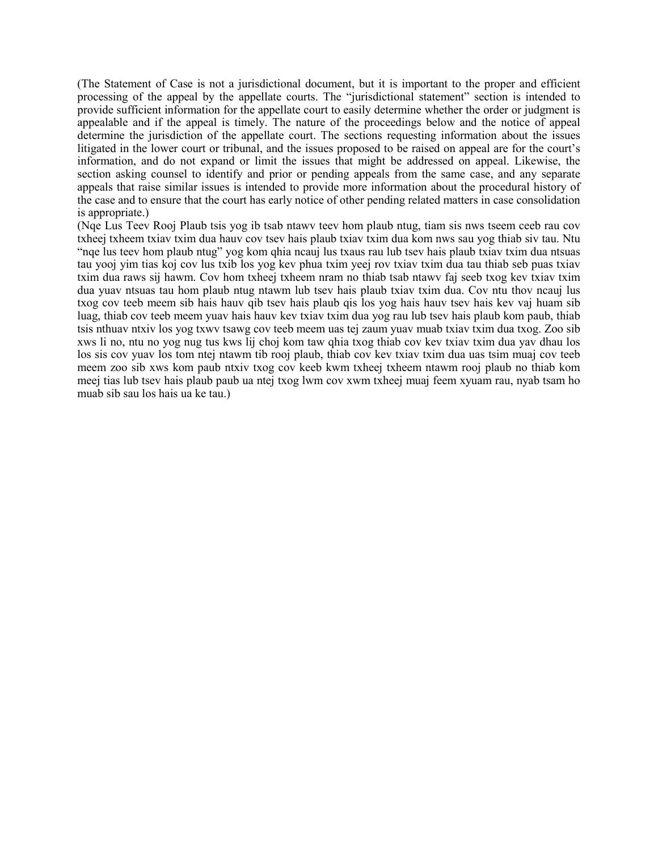(The Statement of Case is not a jurisdictional document, but it is important to the proper and efficient processing of the appeal by the appellate courts. The "jurisdictional statement" section is intended to provide sufficient information for the appellate court to easily determine whether the order or judgment is appealable and if the appeal is timely. The nature of the proceedings below and the notice of appeal determine the jurisdiction of the appellate court. The sections requesting information about the issues litigated in the lower court or tribunal, and the issues proposed to be raised on appeal are for the court's information, and do not expand or limit the issues that might be addressed on appeal. Likewise, the section asking counsel to identify and prior or pending appeals from the same case, and any separate appeals that raise similar issues is intended to provide more information about the procedural history of the case and to ensure that the court has early notice of other pending related matters in case consolidation is appropriate.)

(Nqe Lus Teev Rooj Plaub tsis yog ib tsab ntawv teev hom plaub ntug, tiam sis nws tseem ceeb rau cov txheej txheem txiav txim dua hauv cov tsev hais plaub txiav txim dua kom nws sau yog thiab siv tau. Ntu "nqe lus teev hom plaub ntug" yog kom qhia ncauj lus txaus rau lub tsev hais plaub txiav txim dua ntsuas tau yooj yim tias koj cov lus txib los yog kev phua txim yeej rov txiav txim dua tau thiab seb puas txiav txim dua raws sij hawm. Cov hom txheej txheem nram no thiab tsab ntawv faj seeb txog kev txiav txim dua yuav ntsuas tau hom plaub ntug ntawm lub tsev hais plaub txiav txim dua. Cov ntu thov ncauj lus txog cov teeb meem sib hais hauv qib tsev hais plaub qis los yog hais hauv tsev hais kev vaj huam sib luag, thiab cov teeb meem yuav hais hauv kev txiav txim dua yog rau lub tsev hais plaub kom paub, thiab tsis nthuav ntxiv los yog txwv tsawg cov teeb meem uas tej zaum yuav muab txiav txim dua txog. Zoo sib xws li no, ntu no yog nug tus kws lij choj kom taw qhia txog thiab cov kev txiav txim dua yav dhau los los sis cov yuav los tom ntej ntawm tib rooj plaub, thiab cov kev txiav txim dua uas tsim muaj cov teeb meem zoo sib xws kom paub ntxiv txog cov keeb kwm txheej txheem ntawm rooj plaub no thiab kom meej tias lub tsev hais plaub paub ua ntej txog lwm cov xwm txheej muaj feem xyuam rau, nyab tsam ho muab sib sau los hais ua ke tau.)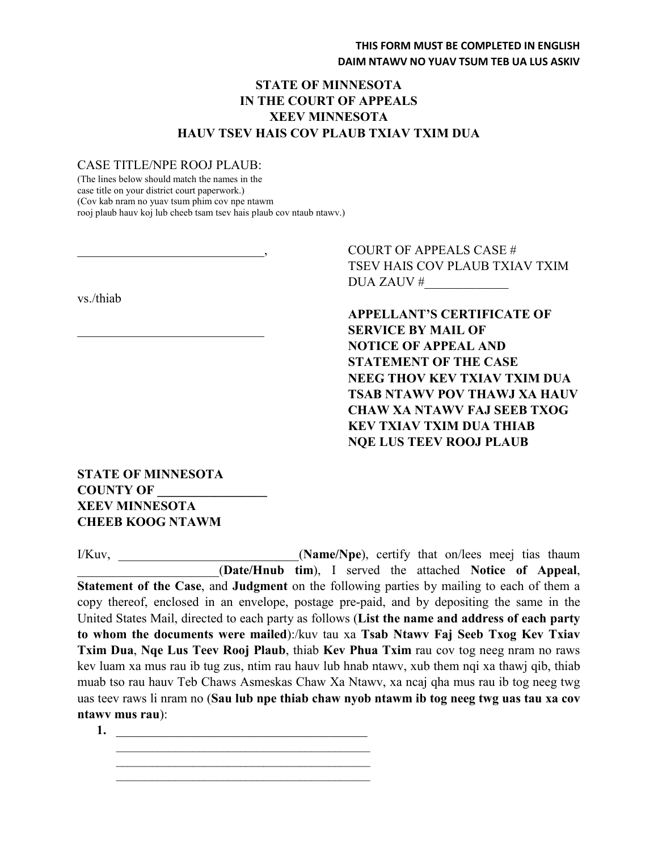#### **STATE OF MINNESOTA IN THE COURT OF APPEALS XEEV MINNESOTA HAUV TSEV HAIS COV PLAUB TXIAV TXIM DUA**

#### CASE TITLE/NPE ROOJ PLAUB:

(The lines below should match the names in the case title on your district court paperwork.) (Cov kab nram no yuav tsum phim cov npe ntawm rooj plaub hauv koj lub cheeb tsam tsev hais plaub cov ntaub ntawv.)

> \_\_\_\_\_\_\_\_\_\_\_\_\_\_\_\_\_\_\_\_\_\_\_\_\_\_\_\_\_, COURT OF APPEALS CASE # TSEV HAIS COV PLAUB TXIAV TXIM DUA ZAUV #\_\_\_\_\_\_\_\_\_\_\_\_\_

**APPELLANT'S CERTIFICATE OF** \_\_\_\_\_\_\_\_\_\_\_\_\_\_\_\_\_\_\_\_\_\_\_\_\_\_\_\_\_ **SERVICE BY MAIL OF NOTICE OF APPEAL AND STATEMENT OF THE CASE NEEG THOV KEV TXIAV TXIM DUA TSAB NTAWV POV THAWJ XA HAUV CHAW XA NTAWV FAJ SEEB TXOG KEV TXIAV TXIM DUA THIAB NQE LUS TEEV ROOJ PLAUB**

**STATE OF MINNESOTA COUNTY OF \_\_\_\_\_\_\_\_\_\_\_\_\_\_\_\_\_ XEEV MINNESOTA CHEEB KOOG NTAWM**

I/Kuv, **Mame/Npe**), certify that on/lees meej tias thaum \_\_\_\_\_\_\_\_\_\_\_\_\_\_\_\_\_\_\_\_\_\_(**Date/Hnub tim**), I served the attached **Notice of Appeal**, **Statement of the Case**, and **Judgment** on the following parties by mailing to each of them a copy thereof, enclosed in an envelope, postage pre-paid, and by depositing the same in the United States Mail, directed to each party as follows (**List the name and address of each party to whom the documents were mailed**):/kuv tau xa **Tsab Ntawv Faj Seeb Txog Kev Txiav Txim Dua**, **Nqe Lus Teev Rooj Plaub**, thiab **Kev Phua Txim** rau cov tog neeg nram no raws kev luam xa mus rau ib tug zus, ntim rau hauv lub hnab ntawv, xub them nqi xa thawj qib, thiab muab tso rau hauv Teb Chaws Asmeskas Chaw Xa Ntawv, xa ncaj qha mus rau ib tog neeg twg uas teev raws li nram no (**Sau lub npe thiab chaw nyob ntawm ib tog neeg twg uas tau xa cov ntawv mus rau**):

**1.**  $\blacksquare$  $\mathcal{L}_\text{max}$  , where  $\mathcal{L}_\text{max}$  , we have the set of  $\mathcal{L}_\text{max}$  $\mathcal{L}_\text{max}$  , which is a set of the set of the set of the set of the set of the set of the set of the set of the set of the set of the set of the set of the set of the set of the set of the set of the set of the set of  $\mathcal{L}_\text{max}$  , where  $\mathcal{L}_\text{max}$  , we have the set of  $\mathcal{L}_\text{max}$ 

vs./thiab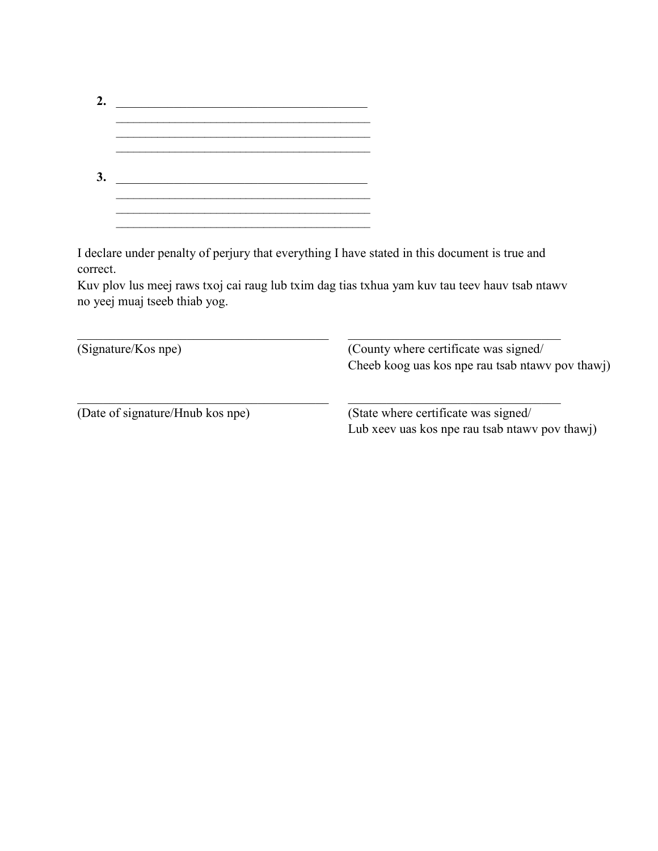| $\mathbf{2}$   |  |
|----------------|--|
|                |  |
|                |  |
|                |  |
| 3 <sub>o</sub> |  |
|                |  |
|                |  |
|                |  |

I declare under penalty of perjury that everything I have stated in this document is true and correct.

Kuv plov lus meej raws txoj cai raug lub txim dag tias txhua yam kuv tau teev hauv tsab ntawv no yeej muaj tseeb thiab yog.

| (Signature/Kos npe)              | (County where certificate was signed/<br>Cheeb koog uas kos npe rau tsab ntawy pov thawj) |  |
|----------------------------------|-------------------------------------------------------------------------------------------|--|
| (Date of signature/Hnub kos npe) | (State where certificate was signed/<br>Lub xeev uas kos npe rau tsab ntawy pov thawj)    |  |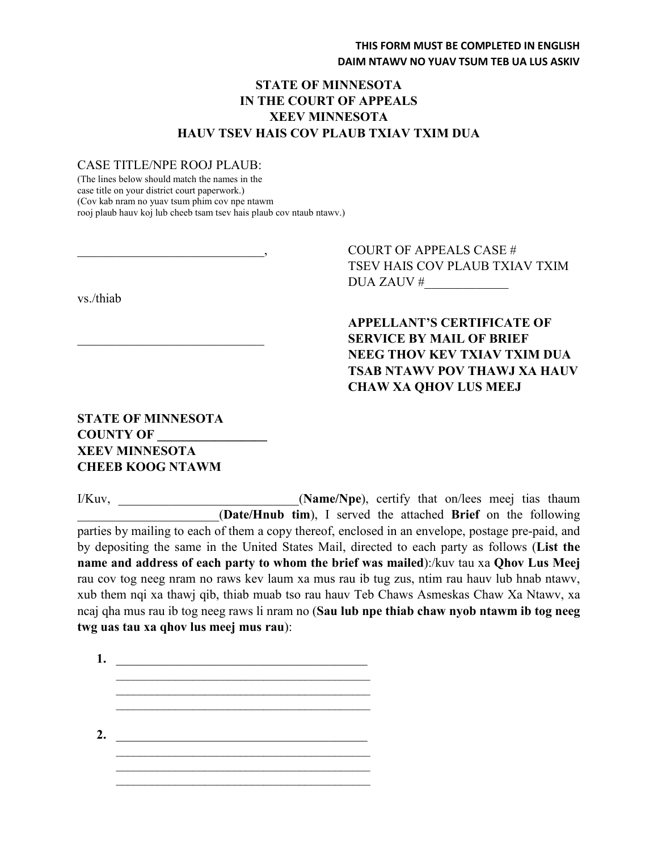#### **STATE OF MINNESOTA IN THE COURT OF APPEALS XEEV MINNESOTA HAUV TSEV HAIS COV PLAUB TXIAV TXIM DUA**

#### CASE TITLE/NPE ROOJ PLAUB:

(The lines below should match the names in the case title on your district court paperwork.) (Cov kab nram no yuav tsum phim cov npe ntawm rooj plaub hauv koj lub cheeb tsam tsev hais plaub cov ntaub ntawv.)

> \_\_\_\_\_\_\_\_\_\_\_\_\_\_\_\_\_\_\_\_\_\_\_\_\_\_\_\_\_, COURT OF APPEALS CASE # TSEV HAIS COV PLAUB TXIAV TXIM DUA ZAUV #\_\_\_\_\_\_\_\_\_\_\_\_\_

> > **APPELLANT'S CERTIFICATE OF** \_\_\_\_\_\_\_\_\_\_\_\_\_\_\_\_\_\_\_\_\_\_\_\_\_\_\_\_\_ **SERVICE BY MAIL OF BRIEF NEEG THOV KEV TXIAV TXIM DUA TSAB NTAWV POV THAWJ XA HAUV CHAW XA QHOV LUS MEEJ**

## **STATE OF MINNESOTA COUNTY OF \_\_\_\_\_\_\_\_\_\_\_\_\_\_\_\_\_**

vs./thiab

**XEEV MINNESOTA CHEEB KOOG NTAWM**

I/Kuv, **Mame/Npe**), certify that on/lees meej tias thaum \_\_\_\_\_\_\_\_\_\_\_\_\_\_\_\_\_\_\_\_\_\_(**Date/Hnub tim**), I served the attached **Brief** on the following parties by mailing to each of them a copy thereof, enclosed in an envelope, postage pre-paid, and by depositing the same in the United States Mail, directed to each party as follows (**List the name and address of each party to whom the brief was mailed**):/kuv tau xa **Qhov Lus Meej** rau cov tog neeg nram no raws kev laum xa mus rau ib tug zus, ntim rau hauv lub hnab ntawv, xub them nqi xa thawj qib, thiab muab tso rau hauv Teb Chaws Asmeskas Chaw Xa Ntawv, xa ncaj qha mus rau ib tog neeg raws li nram no (**Sau lub npe thiab chaw nyob ntawm ib tog neeg twg uas tau xa qhov lus meej mus rau**):

**1.** \_\_\_\_\_\_\_\_\_\_\_\_\_\_\_\_\_\_\_\_\_\_\_\_\_\_\_\_\_\_\_\_\_\_\_\_\_\_\_  $\mathcal{L}_\text{max}$  , where  $\mathcal{L}_\text{max}$  , we have the set of  $\mathcal{L}_\text{max}$ \_\_\_\_\_\_\_\_\_\_\_\_\_\_\_\_\_\_\_\_\_\_\_\_\_\_\_\_\_\_\_\_\_\_\_\_\_\_\_\_\_\_\_  $\mathcal{L}_\text{max}$  , where  $\mathcal{L}_\text{max}$  , we have the set of  $\mathcal{L}_\text{max}$ 2.  $\mathcal{L}_\text{max}$  , which is a set of the set of the set of the set of the set of the set of the set of the set of the set of the set of the set of the set of the set of the set of the set of the set of the set of the set of  $\mathcal{L}_\text{max}$  , where  $\mathcal{L}_\text{max}$  , we have the set of  $\mathcal{L}_\text{max}$ \_\_\_\_\_\_\_\_\_\_\_\_\_\_\_\_\_\_\_\_\_\_\_\_\_\_\_\_\_\_\_\_\_\_\_\_\_\_\_\_\_\_\_